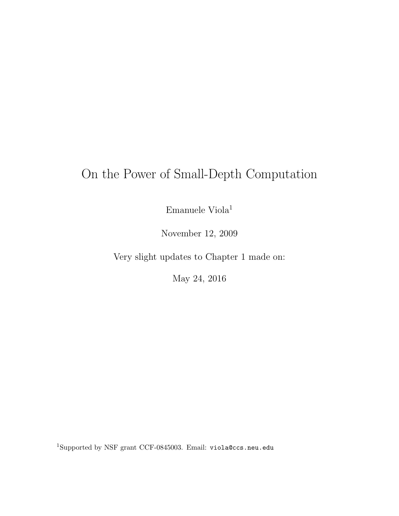# On the Power of Small-Depth Computation

Emanuele Viola $^1$ 

November 12, 2009

Very slight updates to Chapter 1 made on:

May 24, 2016

<sup>1</sup>Supported by NSF grant CCF-0845003. Email: viola@ccs.neu.edu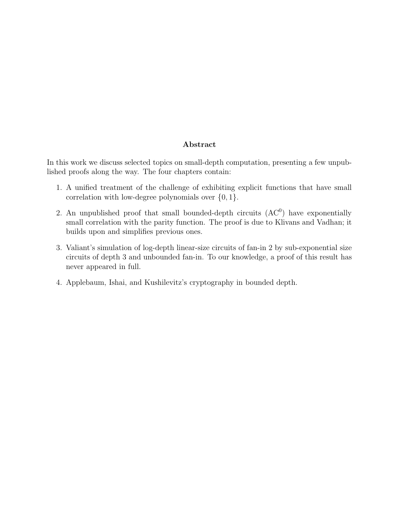#### Abstract

In this work we discuss selected topics on small-depth computation, presenting a few unpublished proofs along the way. The four chapters contain:

- 1. A unified treatment of the challenge of exhibiting explicit functions that have small correlation with low-degree polynomials over  $\{0, 1\}$ .
- 2. An unpublished proof that small bounded-depth circuits  $(AC<sup>0</sup>)$  have exponentially small correlation with the parity function. The proof is due to Klivans and Vadhan; it builds upon and simplifies previous ones.
- 3. Valiant's simulation of log-depth linear-size circuits of fan-in 2 by sub-exponential size circuits of depth 3 and unbounded fan-in. To our knowledge, a proof of this result has never appeared in full.
- 4. Applebaum, Ishai, and Kushilevitz's cryptography in bounded depth.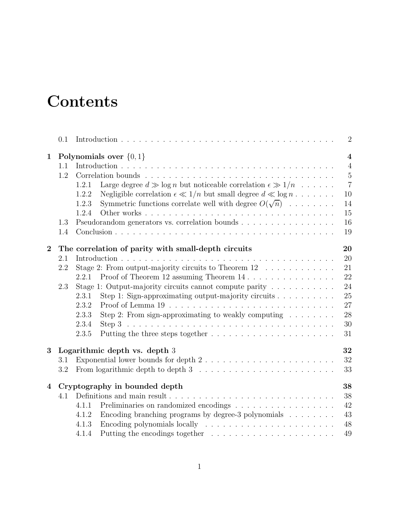# **Contents**

|                | 0.1                                                   |                                                                                                  | $\overline{2}$ |  |  |  |  |  |  |  |
|----------------|-------------------------------------------------------|--------------------------------------------------------------------------------------------------|----------------|--|--|--|--|--|--|--|
| $\mathbf 1$    | Polynomials over $\{0,1\}$<br>$\overline{\mathbf{4}}$ |                                                                                                  |                |  |  |  |  |  |  |  |
|                | 1.1                                                   |                                                                                                  | $\overline{4}$ |  |  |  |  |  |  |  |
|                | 1.2                                                   |                                                                                                  | $\mathbf 5$    |  |  |  |  |  |  |  |
|                |                                                       | Large degree $d \gg \log n$ but noticeable correlation $\epsilon \gg 1/n$<br>1.2.1               | $\overline{7}$ |  |  |  |  |  |  |  |
|                |                                                       | Negligible correlation $\epsilon \ll 1/n$ but small degree $d \ll \log n \ldots \ldots$<br>1.2.2 | 10             |  |  |  |  |  |  |  |
|                |                                                       | Symmetric functions correlate well with degree $O(\sqrt{n})$<br>1.2.3                            | 14             |  |  |  |  |  |  |  |
|                |                                                       | 1.2.4                                                                                            | 15             |  |  |  |  |  |  |  |
|                | 1.3                                                   | Pseudorandom generators vs. correlation bounds                                                   | 16             |  |  |  |  |  |  |  |
|                | 1.4                                                   |                                                                                                  | 19             |  |  |  |  |  |  |  |
|                |                                                       |                                                                                                  |                |  |  |  |  |  |  |  |
| $\overline{2}$ |                                                       | The correlation of parity with small-depth circuits                                              | 20             |  |  |  |  |  |  |  |
|                | 2.1                                                   |                                                                                                  | 20             |  |  |  |  |  |  |  |
|                | 2.2                                                   | Stage 2: From output-majority circuits to Theorem $12$                                           | 21             |  |  |  |  |  |  |  |
|                |                                                       | Proof of Theorem 12 assuming Theorem 14.<br>2.2.1                                                | 22             |  |  |  |  |  |  |  |
|                | 2.3                                                   | Stage 1: Output-majority circuits cannot compute parity $\ldots \ldots \ldots$                   | 24             |  |  |  |  |  |  |  |
|                |                                                       | Step 1: Sign-approximating output-majority circuits $\ldots \ldots \ldots$<br>2.3.1              | 25             |  |  |  |  |  |  |  |
|                |                                                       | 2.3.2                                                                                            | 27             |  |  |  |  |  |  |  |
|                |                                                       | Step 2: From sign-approximating to weakly computing $\ldots \ldots$<br>2.3.3                     | 28             |  |  |  |  |  |  |  |
|                |                                                       | 2.3.4                                                                                            | 30             |  |  |  |  |  |  |  |
|                |                                                       | 2.3.5                                                                                            | 31             |  |  |  |  |  |  |  |
| 3              | 32<br>Logarithmic depth vs. depth 3                   |                                                                                                  |                |  |  |  |  |  |  |  |
|                | 3.1                                                   | Exponential lower bounds for depth $2 \ldots \ldots \ldots \ldots \ldots \ldots \ldots$          | 32             |  |  |  |  |  |  |  |
|                | 3.2                                                   |                                                                                                  | 33             |  |  |  |  |  |  |  |
| $\overline{4}$ |                                                       | Cryptography in bounded depth                                                                    | 38             |  |  |  |  |  |  |  |
|                | 4.1                                                   |                                                                                                  | 38             |  |  |  |  |  |  |  |
|                |                                                       | Preliminaries on randomized encodings<br>4.1.1                                                   | 42             |  |  |  |  |  |  |  |
|                |                                                       | Encoding branching programs by degree-3 polynomials $\ldots \ldots$<br>4.1.2                     | 43             |  |  |  |  |  |  |  |
|                |                                                       | Encoding polynomials locally $\dots \dots \dots \dots \dots \dots \dots \dots$<br>4.1.3          | 48             |  |  |  |  |  |  |  |
|                |                                                       | 4.1.4                                                                                            | 49             |  |  |  |  |  |  |  |
|                |                                                       |                                                                                                  |                |  |  |  |  |  |  |  |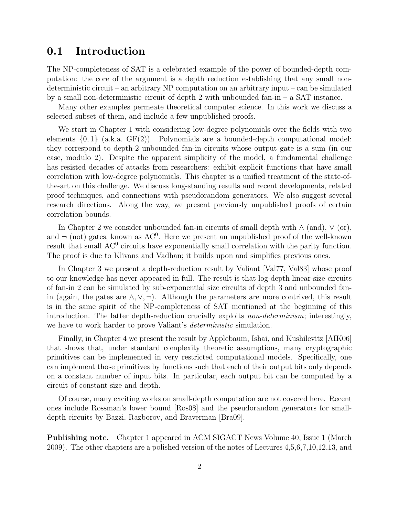### 0.1 Introduction

The NP-completeness of SAT is a celebrated example of the power of bounded-depth computation: the core of the argument is a depth reduction establishing that any small nondeterministic circuit – an arbitrary NP computation on an arbitrary input – can be simulated by a small non-deterministic circuit of depth 2 with unbounded fan-in  $-$  a SAT instance.

Many other examples permeate theoretical computer science. In this work we discuss a selected subset of them, and include a few unpublished proofs.

We start in Chapter 1 with considering low-degree polynomials over the fields with two elements  $\{0,1\}$  (a.k.a.  $GF(2)$ ). Polynomials are a bounded-depth computational model: they correspond to depth-2 unbounded fan-in circuits whose output gate is a sum (in our case, modulo 2). Despite the apparent simplicity of the model, a fundamental challenge has resisted decades of attacks from researchers: exhibit explicit functions that have small correlation with low-degree polynomials. This chapter is a unified treatment of the state-ofthe-art on this challenge. We discuss long-standing results and recent developments, related proof techniques, and connections with pseudorandom generators. We also suggest several research directions. Along the way, we present previously unpublished proofs of certain correlation bounds.

In Chapter 2 we consider unbounded fan-in circuits of small depth with  $\wedge$  (and),  $\vee$  (or), and  $\neg$  (not) gates, known as AC<sup>0</sup>. Here we present an unpublished proof of the well-known result that small  $AC^0$  circuits have exponentially small correlation with the parity function. The proof is due to Klivans and Vadhan; it builds upon and simplifies previous ones.

In Chapter 3 we present a depth-reduction result by Valiant [Val77, Val83] whose proof to our knowledge has never appeared in full. The result is that log-depth linear-size circuits of fan-in 2 can be simulated by sub-exponential size circuits of depth 3 and unbounded fanin (again, the gates are  $\wedge$ ,  $\vee$ ,  $\neg$ ). Although the parameters are more contrived, this result is in the same spirit of the NP-completeness of SAT mentioned at the beginning of this introduction. The latter depth-reduction crucially exploits *non-determinism*; interestingly, we have to work harder to prove Valiant's *deterministic* simulation.

Finally, in Chapter 4 we present the result by Applebaum, Ishai, and Kushilevitz [AIK06] that shows that, under standard complexity theoretic assumptions, many cryptographic primitives can be implemented in very restricted computational models. Specifically, one can implement those primitives by functions such that each of their output bits only depends on a constant number of input bits. In particular, each output bit can be computed by a circuit of constant size and depth.

Of course, many exciting works on small-depth computation are not covered here. Recent ones include Rossman's lower bound [Ros08] and the pseudorandom generators for smalldepth circuits by Bazzi, Razborov, and Braverman [Bra09].

Publishing note. Chapter 1 appeared in ACM SIGACT News Volume 40, Issue 1 (March 2009). The other chapters are a polished version of the notes of Lectures 4,5,6,7,10,12,13, and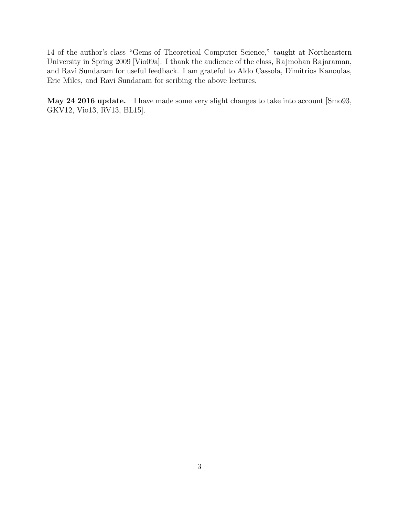14 of the author's class "Gems of Theoretical Computer Science," taught at Northeastern University in Spring 2009 [Vio09a]. I thank the audience of the class, Rajmohan Rajaraman, and Ravi Sundaram for useful feedback. I am grateful to Aldo Cassola, Dimitrios Kanoulas, Eric Miles, and Ravi Sundaram for scribing the above lectures.

May 24 2016 update. I have made some very slight changes to take into account [Smo93, GKV12, Vio13, RV13, BL15].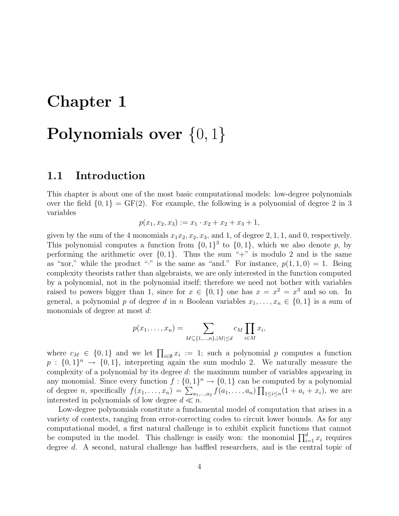# Chapter 1 Polynomials over  $\{0,1\}$

### 1.1 Introduction

This chapter is about one of the most basic computational models: low-degree polynomials over the field  $\{0, 1\} = \text{GF}(2)$ . For example, the following is a polynomial of degree 2 in 3 variables

$$
p(x_1, x_2, x_3) := x_1 \cdot x_2 + x_2 + x_3 + 1,
$$

given by the sum of the 4 monomials  $x_1x_2, x_2, x_3$ , and 1, of degree 2, 1, 1, and 0, respectively. This polynomial computes a function from  $\{0,1\}^3$  to  $\{0,1\}$ , which we also denote p, by performing the arithmetic over  $\{0, 1\}$ . Thus the sum "+" is modulo 2 and is the same as "xor," while the product "." is the same as "and." For instance,  $p(1,1,0) = 1$ . Being complexity theorists rather than algebraists, we are only interested in the function computed by a polynomial, not in the polynomial itself; therefore we need not bother with variables raised to powers bigger than 1, since for  $x \in \{0,1\}$  one has  $x = x^2 = x^3$  and so on. In general, a polynomial p of degree d in n Boolean variables  $x_1, \ldots, x_n \in \{0, 1\}$  is a sum of monomials of degree at most d:

$$
p(x_1,...,x_n) = \sum_{M \subseteq \{1,...,n\}, |M| \le d} c_M \prod_{i \in M} x_i
$$

where  $c_M \in \{0,1\}$  and we let  $\prod_{i\in\emptyset} x_i := 1$ ; such a polynomial p computes a function  $p: \{0,1\}^n \longrightarrow \{0,1\}$ , interpreting again the sum modulo 2. We naturally measure the complexity of a polynomial by its degree d: the maximum number of variables appearing in any monomial. Since every function  $f: \{0,1\}^n \to \{0,1\}$  can be computed by a polynomial of degree *n*, specifically  $f(x_1, \ldots, x_n) = \sum_{a_1, \ldots, a_2} f(a_1, \ldots, a_n) \prod_{1 \le i \le n} (1 + a_i + x_i)$ , we are interested in polynomials of low degree  $d \ll n$ .

Low-degree polynomials constitute a fundamental model of computation that arises in a variety of contexts, ranging from error-correcting codes to circuit lower bounds. As for any computational model, a first natural challenge is to exhibit explicit functions that cannot be computed in the model. This challenge is easily won: the monomial  $\prod_{i=1}^{d} x_i$  requires degree d. A second, natural challenge has baffled researchers, and is the central topic of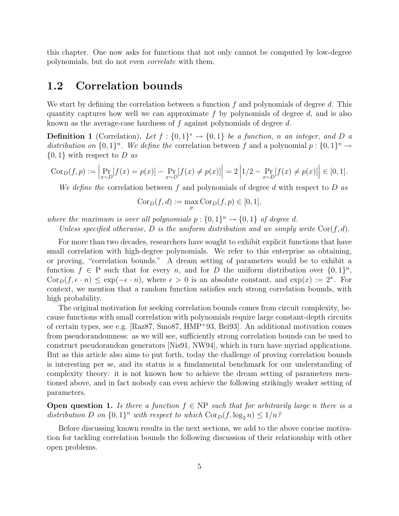this chapter. One now asks for functions that not only cannot be computed by low-degree polynomials, but do not even *correlate* with them.

### 1.2 Correlation bounds

We start by defining the correlation between a function  $f$  and polynomials of degree  $d$ . This quantity captures how well we can approximate  $f$  by polynomials of degree  $d$ , and is also known as the average-case hardness of f against polynomials of degree d.

**Definition 1** (Correlation). Let  $f : \{0,1\}^* \to \{0,1\}$  be a function, n an integer, and D a distribution on  $\{0,1\}^n$ . We define the correlation between f and a polynomial  $p: \{0,1\}^n \to$ {0, 1} with respect to D *as*

$$
Cor_D(f, p) := \left| \Pr_{x \sim D} [f(x) = p(x)] - \Pr_{x \sim D} [f(x) \neq p(x)] \right| = 2 \left| 1/2 - \Pr_{x \sim D} [f(x) \neq p(x)] \right| \in [0, 1].
$$

*We define the* correlation between f and polynomials of degree d with respect to D *as*

$$
Cor_D(f, d) := \max_p Cor_D(f, p) \in [0, 1],
$$

where the maximum is over all polynomials  $p: \{0,1\}^n \to \{0,1\}$  of degree d.

*Unless specified otherwise,*  $D$  *is the uniform distribution and we simply write*  $Cor(f, d)$ *.* 

For more than two decades, researchers have sought to exhibit explicit functions that have small correlation with high-degree polynomials. We refer to this enterprise as obtaining, or proving, "correlation bounds." A dream setting of parameters would be to exhibit a function  $f \in P$  such that for every *n*, and for *D* the uniform distribution over  $\{0, 1\}^n$ ,  $Cor_D(f, \epsilon \cdot n) \leq \exp(-\epsilon \cdot n)$ , where  $\epsilon > 0$  is an absolute constant, and  $exp(x) := 2^x$ . For context, we mention that a random function satisfies such strong correlation bounds, with high probability.

The original motivation for seeking correlation bounds comes from circuit complexity, because functions with small correlation with polynomials require large constant-depth circuits of certain types, see e.g. [Raz87, Smo87, HMP<sup>+</sup>93, Bei93]. An additional motivation comes from pseudorandomness: as we will see, sufficiently strong correlation bounds can be used to construct pseudorandom generators [Nis91, NW94], which in turn have myriad applications. But as this article also aims to put forth, today the challenge of proving correlation bounds is interesting per se, and its status is a fundamental benchmark for our understanding of complexity theory: it is not known how to achieve the dream setting of parameters mentioned above, and in fact nobody can even achieve the following strikingly weaker setting of parameters.

**Open question 1.** Is there a function  $f \in NP$  such that for arbitrarily large n there is a distribution D on  $\{0,1\}^n$  with respect to which  $\text{Cor}_D(f, \log_2 n) \leq 1/n^{\frac{1}{2}}$ 

Before discussing known results in the next sections, we add to the above concise motivation for tackling correlation bounds the following discussion of their relationship with other open problems.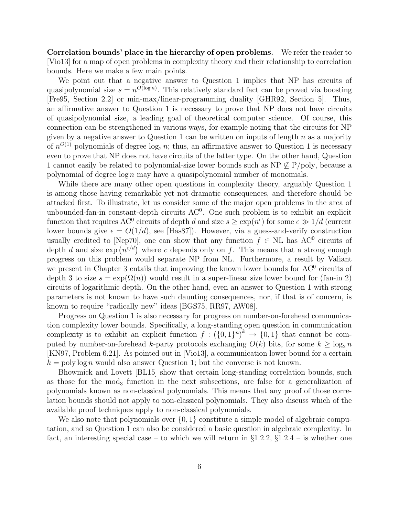Correlation bounds' place in the hierarchy of open problems. We refer the reader to [Vio13] for a map of open problems in complexity theory and their relationship to correlation bounds. Here we make a few main points.

We point out that a negative answer to Question 1 implies that NP has circuits of quasipolynomial size  $s = n^{O(\log n)}$ . This relatively standard fact can be proved via boosting [Fre95, Section 2.2] or min-max/linear-programming duality [GHR92, Section 5]. Thus, an affirmative answer to Question 1 is necessary to prove that NP does not have circuits of quasipolynomial size, a leading goal of theoretical computer science. Of course, this connection can be strengthened in various ways, for example noting that the circuits for NP given by a negative answer to Question 1 can be written on inputs of length  $n$  as a majority of  $n^{O(1)}$  polynomials of degree  $\log_2 n$ ; thus, an affirmative answer to Question 1 is necessary even to prove that NP does not have circuits of the latter type. On the other hand, Question 1 cannot easily be related to polynomial-size lower bounds such as  $NP \nsubseteq P/poly$ , because a polynomial of degree  $\log n$  may have a quasipolynomial number of monomials.

While there are many other open questions in complexity theory, arguably Question 1 is among those having remarkable yet not dramatic consequences, and therefore should be attacked first. To illustrate, let us consider some of the major open problems in the area of unbounded-fan-in constant-depth circuits  $AC<sup>0</sup>$ . One such problem is to exhibit an explicit function that requires AC<sup>0</sup> circuits of depth d and size  $s \geq \exp(n^{\epsilon})$  for some  $\epsilon \gg 1/d$  (current lower bounds give  $\epsilon = O(1/d)$ , see [Hås87]). However, via a guess-and-verify construction usually credited to [Nep70], one can show that any function  $f \in NL$  has AC<sup>0</sup> circuits of depth d and size  $\exp(n^{c/d})$  where c depends only on f. This means that a strong enough progress on this problem would separate NP from NL. Furthermore, a result by Valiant we present in Chapter 3 entails that improving the known lower bounds for  $AC^0$  circuits of depth 3 to size  $s = \exp(\Omega(n))$  would result in a super-linear size lower bound for (fan-in 2) circuits of logarithmic depth. On the other hand, even an answer to Question 1 with strong parameters is not known to have such daunting consequences, nor, if that is of concern, is known to require "radically new" ideas [BGS75, RR97, AW08].

Progress on Question 1 is also necessary for progress on number-on-forehead communication complexity lower bounds. Specifically, a long-standing open question in communication complexity is to exhibit an explicit function  $f : (\{0,1\}^n)^k \to \{0,1\}$  that cannot be computed by number-on-forehead k-party protocols exchanging  $O(k)$  bits, for some  $k \ge \log_2 n$ [KN97, Problem 6.21]. As pointed out in [Vio13], a communication lower bound for a certain  $k = \text{poly}\log n$  would also answer Question 1; but the converse is not known.

Bhowmick and Lovett [BL15] show that certain long-standing correlation bounds, such as those for the mod<sub>3</sub> function in the next subsections, are false for a generalization of polynomials known as non-classical polynomials. This means that any proof of those correlation bounds should not apply to non-classical polynomials. They also discuss which of the available proof techniques apply to non-classical polynomials.

We also note that polynomials over  $\{0,1\}$  constitute a simple model of algebraic computation, and so Question 1 can also be considered a basic question in algebraic complexity. In fact, an interesting special case – to which we will return in  $\S 1.2.2, \S 1.2.4$  – is whether one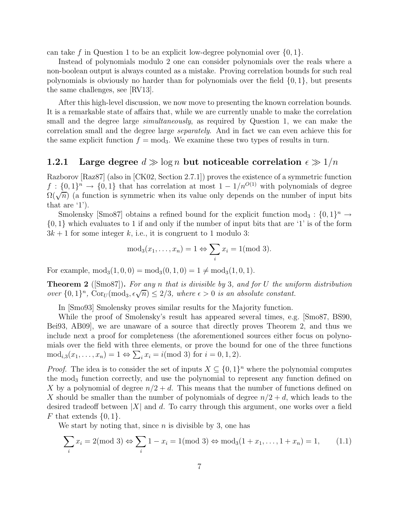can take f in Question 1 to be an explicit low-degree polynomial over  $\{0, 1\}$ .

Instead of polynomials modulo 2 one can consider polynomials over the reals where a non-boolean output is always counted as a mistake. Proving correlation bounds for such real polynomials is obviously no harder than for polynomials over the field  $\{0, 1\}$ , but presents the same challenges, see [RV13].

After this high-level discussion, we now move to presenting the known correlation bounds. It is a remarkable state of affairs that, while we are currently unable to make the correlation small and the degree large *simultaneously*, as required by Question 1, we can make the correlation small and the degree large *separately*. And in fact we can even achieve this for the same explicit function  $f = \text{mod}_3$ . We examine these two types of results in turn.

#### 1.2.1 Large degree  $d \gg \log n$  but noticeable correlation  $\epsilon \gg 1/n$

Razborov [Raz87] (also in [CK02, Section 2.7.1]) proves the existence of a symmetric function  $f: \{0,1\}^n \to \{0,1\}$  that has correlation at most  $1 - 1/n^{O(1)}$  with polynomials of degree  $\Omega(\sqrt{n})$  (a function is symmetric when its value only depends on the number of input bits that are  $(1')$ .

Smolensky [Smo87] obtains a refined bound for the explicit function  $\text{mod}_3 : \{0,1\}^n \to$  $\{0, 1\}$  which evaluates to 1 if and only if the number of input bits that are '1' is of the form  $3k + 1$  for some integer k, i.e., it is congruent to 1 modulo 3:

$$
mod_3(x_1,\ldots,x_n) = 1 \Leftrightarrow \sum_i x_i = 1 \pmod{3}.
$$

For example,  $mod_3(1, 0, 0) = mod_3(0, 1, 0) = 1 \neq mod_3(1, 0, 1).$ 

Theorem 2 ([Smo87]). *For any* n *that is divisible by* 3*, and for* U *the uniform distribution over*  $\{0,1\}^n$ ,  $Cor_U(\text{mod}_3, \epsilon \sqrt{n}) \leq 2/3$ , where  $\epsilon > 0$  *is an absolute constant.* 

In [Smo93] Smolensky proves similar results for the Majority function.

While the proof of Smolensky's result has appeared several times, e.g. [Smo87, BS90, Bei93, AB09], we are unaware of a source that directly proves Theorem 2, and thus we include next a proof for completeness (the aforementioned sources either focus on polynomials over the field with three elements, or prove the bound for one of the three functions  $mod_{i,3}(x_1,...,x_n) = 1 \Leftrightarrow \sum_i x_i = i \pmod{3}$  for  $i = 0,1,2$ .

*Proof.* The idea is to consider the set of inputs  $X \subseteq \{0,1\}^n$  where the polynomial computes the mod<sub>3</sub> function correctly, and use the polynomial to represent any function defined on X by a polynomial of degree  $n/2 + d$ . This means that the number of functions defined on X should be smaller than the number of polynomials of degree  $n/2 + d$ , which leads to the desired tradeoff between  $|X|$  and d. To carry through this argument, one works over a field F that extends  $\{0, 1\}$ .

We start by noting that, since  $n$  is divisible by 3, one has

$$
\sum_{i} x_i = 2 \pmod{3} \Leftrightarrow \sum_{i} 1 - x_i = 1 \pmod{3} \Leftrightarrow \text{mod}_3(1 + x_1, \dots, 1 + x_n) = 1,\tag{1.1}
$$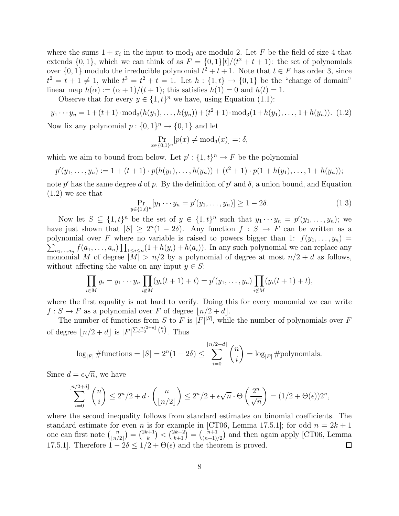where the sums  $1 + x_i$  in the input to mod<sub>3</sub> are modulo 2. Let F be the field of size 4 that extends  $\{0, 1\}$ , which we can think of as  $F = \{0, 1\}[t]/(t^2 + t + 1)$ : the set of polynomials over  $\{0,1\}$  modulo the irreducible polynomial  $t^2 + t + 1$ . Note that  $t \in F$  has order 3, since  $t^2 = t + 1 \neq 1$ , while  $t^3 = t^2 + t = 1$ . Let  $h : \{1, t\} \to \{0, 1\}$  be the "change of domain" linear map  $h(\alpha) := (\alpha + 1)/(t + 1)$ ; this satisfies  $h(1) = 0$  and  $h(t) = 1$ .

Observe that for every  $y \in \{1, t\}^n$  we have, using Equation (1.1):

$$
y_1 \cdots y_n = 1 + (t+1) \cdot \text{mod}_3(h(y_1), \ldots, h(y_n)) + (t^2 + 1) \cdot \text{mod}_3(1 + h(y_1), \ldots, 1 + h(y_n)). \tag{1.2}
$$

Now fix any polynomial  $p: \{0, 1\}^n \to \{0, 1\}$  and let

$$
\Pr_{x \in \{0,1\}^n} [p(x) \neq \text{mod}_3(x)] =: \delta,
$$

which we aim to bound from below. Let  $p' : \{1, t\}^n \to F$  be the polynomial

$$
p'(y_1,\ldots,y_n):=1+(t+1)\cdot p(h(y_1),\ldots,h(y_n))+(t^2+1)\cdot p(1+h(y_1),\ldots,1+h(y_n));
$$

note p' has the same degree d of p. By the definition of p' and  $\delta$ , a union bound, and Equation (1.2) we see that

$$
\Pr_{y \in \{1, t\}^n} [y_1 \cdots y_n = p'(y_1, \dots, y_n)] \ge 1 - 2\delta.
$$
\n(1.3)

Now let  $S \subseteq \{1, t\}^n$  be the set of  $y \in \{1, t\}^n$  such that  $y_1 \cdots y_n = p'(y_1, \ldots, y_n)$ ; we have just shown that  $|S| \geq 2^n(1-2\delta)$ . Any function  $f : S \to F$  can be written as a polynomial over F where no variable is raised to powers bigger than 1:  $f(y_1, \ldots, y_n)$  =  $\sum_{a_1,\dots,a_n} f(a_1,\dots,a_n) \prod_{\substack{1 \leq i \leq n}} (1+h(y_i)+h(a_i)).$  In any such polynomial we can replace any monomial M of degree  $|\overline{M}| > n/2$  by a polynomial of degree at most  $n/2 + d$  as follows, without affecting the value on any input  $y \in S$ :

$$
\prod_{i \in M} y_i = y_1 \cdots y_n \prod_{i \notin M} (y_i(t+1) + t) = p'(y_1, \ldots, y_n) \prod_{i \notin M} (y_i(t+1) + t),
$$

where the first equality is not hard to verify. Doing this for every monomial we can write  $f: S \to F$  as a polynomial over F of degree  $\lfloor n/2 + d \rfloor$ .

The number of functions from S to F is  $|F|^{|S|}$ , while the number of polynomials over F of degree  $\lfloor n/2 + d \rfloor$  is  $\lvert F \rvert^{\sum_{i=0}^{\lfloor n/2+d \rfloor} {n \choose i}}$ . Thus

$$
\log_{|F|} \#\text{functions} = |S| = 2^n (1 - 2\delta) \le \sum_{i=0}^{\lfloor n/2 + d \rfloor} \binom{n}{i} = \log_{|F|} \#\text{polynomials}.
$$

Since  $d = \epsilon \sqrt{n}$ , we have

$$
\sum_{i=0}^{\lfloor n/2+d \rfloor} \binom{n}{i} \le 2^n/2 + d \cdot \binom{n}{\lfloor n/2 \rfloor} \le 2^n/2 + \epsilon \sqrt{n} \cdot \Theta\left(\frac{2^n}{\sqrt{n}}\right) = (1/2 + \Theta(\epsilon))2^n,
$$

where the second inequality follows from standard estimates on binomial coefficients. The standard estimate for even n is for example in [CT06, Lemma 17.5.1]; for odd  $n = 2k + 1$ one can first note  $\binom{n}{\lfloor n/2\rfloor}$  $\binom{n}{\lfloor n/2\rfloor} = \binom{2k+1}{k}$  ${k+1 \choose k} < {2k+2 \choose k+1} = {n+1 \choose (n+1)}$  $\binom{n+1}{(n+1)/2}$  and then again apply [CT06, Lemma 17.5.1]. Therefore  $1 - 2\delta \leq 1/2 + \Theta(\epsilon)$  and the theorem is proved.  $\Box$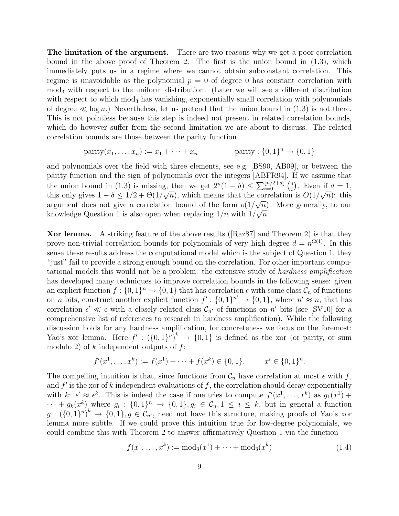The limitation of the argument. There are two reasons why we get a poor correlation bound in the above proof of Theorem 2. The first is the union bound in (1.3), which immediately puts us in a regime where we cannot obtain subconstant correlation. This regime is unavoidable as the polynomial  $p = 0$  of degree 0 has constant correlation with mod<sup>3</sup> with respect to the uniform distribution. (Later we will see a different distribution with respect to which mod<sub>3</sub> has vanishing, exponentially small correlation with polynomials of degree  $\ll \log n$ .) Nevertheless, let us pretend that the union bound in (1.3) is not there. This is not pointless because this step is indeed not present in related correlation bounds, which do however suffer from the second limitation we are about to discuss. The related correlation bounds are those between the parity function

parity
$$
(x_1,...,x_n) := x_1 + \cdots + x_n
$$
 parity:  $\{0,1\}^n \to \{0,1\}$ 

and polynomials over the field with three elements, see e.g. [BS90, AB09], or between the parity function and the sign of polynomials over the integers [ABFR94]. If we assume that the union bound in (1.3) is missing, then we get  $2^{n}(1-\delta) \leq \sum_{i=0}^{\lfloor n/2+d \rfloor} {n \choose i}$  $\binom{n}{i}$ . Even if  $d = 1$ , this only gives  $1 - \delta \leq 1/2 + \Theta(1/\sqrt{n})$ , which means that the correlation is  $O(1/\sqrt{n})$ : this argument does not give a correlation bound of the form  $o(1/\sqrt{n})$ . More generally, to our knowledge Question 1 is also open when replacing  $1/n$  with  $1/\sqrt{n}$ .

Xor lemma. A striking feature of the above results ([Raz87] and Theorem 2) is that they prove non-trivial correlation bounds for polynomials of very high degree  $d = n^{\Omega(1)}$ . In this sense these results address the computational model which is the subject of Question 1, they "just" fail to provide a strong enough bound on the correlation. For other important computational models this would not be a problem: the extensive study of *hardness amplification* has developed many techniques to improve correlation bounds in the following sense: given an explicit function  $f: \{0,1\}^n \to \{0,1\}$  that has correlation  $\epsilon$  with some class  $\mathcal{C}_n$  of functions on *n* bits, construct another explicit function  $f' : \{0,1\}^{n'} \to \{0,1\}$ , where  $n' \approx n$ , that has correlation  $\epsilon' \ll \epsilon$  with a closely related class  $\mathcal{C}_{n'}$  of functions on n' bits (see [SV10] for a comprehensive list of references to research in hardness amplification). While the following discussion holds for any hardness amplification, for concreteness we focus on the foremost: Yao's xor lemma. Here  $f' : (\{0,1\}^n)^k \to \{0,1\}$  is defined as the xor (or parity, or sum modulo 2) of  $k$  independent outputs of  $f$ :

$$
f'(x^1, \dots, x^k) := f(x^1) + \dots + f(x^k) \in \{0, 1\}, \qquad x^i \in \{0, 1\}^n.
$$

The compelling intuition is that, since functions from  $\mathcal{C}_n$  have correlation at most  $\epsilon$  with f, and  $f'$  is the xor of k independent evaluations of f, the correlation should decay exponentially with k:  $\epsilon' \approx \epsilon^k$ . This is indeed the case if one tries to compute  $f'(x^1, \ldots, x^k)$  as  $g_1(x^1)$  +  $\cdots + g_k(x^k)$  where  $g_i: \{0,1\}^n \to \{0,1\}, g_i \in \mathcal{C}_n, 1 \leq i \leq k$ , but in general a function  $g: (\{0,1\}^n)^k \to \{0,1\}, g \in C_{n'}$ , need not have this structure, making proofs of Yao's xor lemma more subtle. If we could prove this intuition true for low-degree polynomials, we could combine this with Theorem 2 to answer affirmatively Question 1 via the function

$$
f(x^{1},...,x^{k}) := \text{mod}_{3}(x^{1}) + \dots + \text{mod}_{3}(x^{k})
$$
\n(1.4)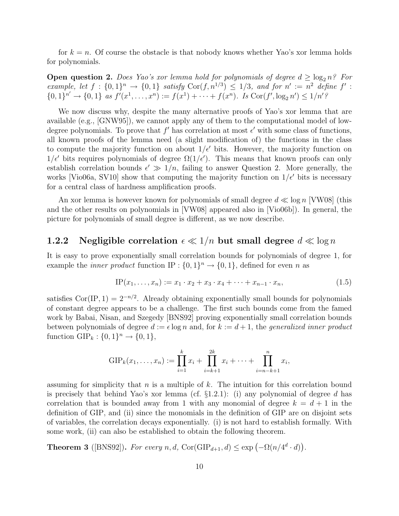for  $k = n$ . Of course the obstacle is that nobody knows whether Yao's xor lemma holds for polynomials.

**Open question 2.** *Does Yao's xor lemma hold for polynomials of degree*  $d \geq \log_2 n$ ? *For example, let*  $f: \{0,1\}^n \rightarrow \{0,1\}$  *satisfy*  $Cor(f, n^{1/3}) \leq 1/3$ *, and for*  $n' := n^2$  *define*  $f'$ :  $\{0, 1\}^{n'} \to \{0, 1\}$  as  $f'(x^1, \ldots, x^n) := f(x^1) + \cdots + f(x^n)$ . Is  $\text{Cor}(f', \log_2 n') \leq 1/n'$ ?

We now discuss why, despite the many alternative proofs of Yao's xor lemma that are available (e.g., [GNW95]), we cannot apply any of them to the computational model of lowdegree polynomials. To prove that  $f'$  has correlation at most  $\epsilon'$  with some class of functions, all known proofs of the lemma need (a slight modification of) the functions in the class to compute the majority function on about  $1/\epsilon'$  bits. However, the majority function on  $1/\epsilon'$  bits requires polynomials of degree  $\Omega(1/\epsilon')$ . This means that known proofs can only establish correlation bounds  $\epsilon' \gg 1/n$ , failing to answer Question 2. More generally, the works [Vio06a, SV10] show that computing the majority function on  $1/\epsilon'$  bits is necessary for a central class of hardness amplification proofs.

An xor lemma is however known for polynomials of small degree  $d \ll \log n$  [VW08] (this and the other results on polynomials in [VW08] appeared also in [Vio06b]). In general, the picture for polynomials of small degree is different, as we now describe.

#### 1.2.2 Negligible correlation  $\epsilon \ll 1/n$  but small degree  $d \ll \log n$

It is easy to prove exponentially small correlation bounds for polynomials of degree 1, for example the *inner product* function IP :  $\{0, 1\}^n \rightarrow \{0, 1\}$ , defined for even *n* as

$$
IP(x_1, \ldots, x_n) := x_1 \cdot x_2 + x_3 \cdot x_4 + \cdots + x_{n-1} \cdot x_n, \tag{1.5}
$$

satisfies  $Cor(\text{IP}, 1) = 2^{-n/2}$ . Already obtaining exponentially small bounds for polynomials of constant degree appears to be a challenge. The first such bounds come from the famed work by Babai, Nisan, and Szegedy [BNS92] proving exponentially small correlation bounds between polynomials of degree  $d := \epsilon \log n$  and, for  $k := d + 1$ , the *generalized inner product* function  $\text{GIP}_k: \{0, 1\}^n \to \{0, 1\},\$ 

$$
\text{GIP}_k(x_1,\ldots,x_n) := \prod_{i=1}^k x_i + \prod_{i=k+1}^{2k} x_i + \cdots + \prod_{i=n-k+1}^n x_i,
$$

assuming for simplicity that  $n$  is a multiple of  $k$ . The intuition for this correlation bound is precisely that behind Yao's xor lemma (cf.  $\S1.2.1$ ): (i) any polynomial of degree d has correlation that is bounded away from 1 with any monomial of degree  $k = d + 1$  in the definition of GIP, and (ii) since the monomials in the definition of GIP are on disjoint sets of variables, the correlation decays exponentially. (i) is not hard to establish formally. With some work, (ii) can also be established to obtain the following theorem.

**Theorem 3** ([BNS92]). *For every*  $n, d$ ,  $Cor(GIP_{d+1}, d) \leq exp(-\Omega(n/4^d \cdot d)).$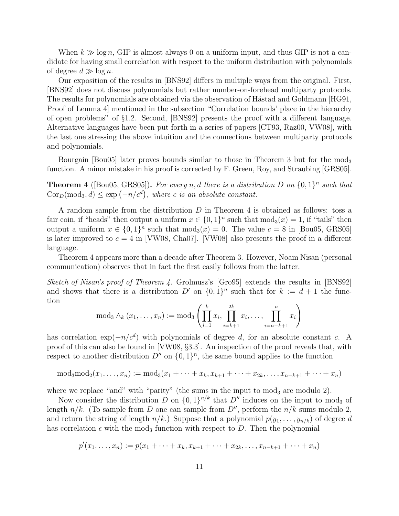When  $k \gg \log n$ , GIP is almost always 0 on a uniform input, and thus GIP is not a candidate for having small correlation with respect to the uniform distribution with polynomials of degree  $d \gg \log n$ .

Our exposition of the results in [BNS92] differs in multiple ways from the original. First, [BNS92] does not discuss polynomials but rather number-on-forehead multiparty protocols. The results for polynomials are obtained via the observation of Håstad and Goldmann [HG91, Proof of Lemma 4] mentioned in the subsection "Correlation bounds' place in the hierarchy of open problems" of §1.2. Second, [BNS92] presents the proof with a different language. Alternative languages have been put forth in a series of papers [CT93, Raz00, VW08], with the last one stressing the above intuition and the connections between multiparty protocols and polynomials.

Bourgain [Bou05] later proves bounds similar to those in Theorem 3 but for the mod<sub>3</sub> function. A minor mistake in his proof is corrected by F. Green, Roy, and Straubing [GRS05].

**Theorem 4** ([Bou05, GRS05]). For every n, d there is a distribution D on  $\{0,1\}^n$  such that  $Cor_D(\text{mod}_3, d) \leq \exp(-n/c^d)$ , where *c* is an absolute constant.

A random sample from the distribution  $D$  in Theorem 4 is obtained as follows: toss a fair coin, if "heads" then output a uniform  $x \in \{0,1\}^n$  such that  $\text{mod}_3(x) = 1$ , if "tails" then output a uniform  $x \in \{0,1\}^n$  such that  $\text{mod}_3(x) = 0$ . The value  $c = 8$  in [Bou05, GRS05] is later improved to  $c = 4$  in [VW08, Cha07]. [VW08] also presents the proof in a different language.

Theorem 4 appears more than a decade after Theorem 3. However, Noam Nisan (personal communication) observes that in fact the first easily follows from the latter.

*Sketch of Nisan's proof of Theorem 4.* Grolmusz's [Gro95] extends the results in [BNS92] and shows that there is a distribution  $D'$  on  $\{0,1\}^n$  such that for  $k := d + 1$  the function

$$
\operatorname{mod}_3 \wedge_k (x_1, \ldots, x_n) := \operatorname{mod}_3 \left( \prod_{i=1}^k x_i, \prod_{i=k+1}^{2k} x_i, \ldots, \prod_{i=n-k+1}^n x_i \right)
$$

has correlation  $\exp(-n/c^d)$  with polynomials of degree d, for an absolute constant c. A proof of this can also be found in [VW08, §3.3]. An inspection of the proof reveals that, with respect to another distribution  $D''$  on  $\{0,1\}^n$ , the same bound applies to the function

$$
mod_3 mod_2(x_1,...,x_n) := mod_3(x_1 + \cdots + x_k, x_{k+1} + \cdots + x_{2k},..., x_{n-k+1} + \cdots + x_n)
$$

where we replace "and" with "parity" (the sums in the input to  $\text{mod}_3$  are modulo 2).

Now consider the distribution D on  $\{0,1\}^{n/k}$  that  $D''$  induces on the input to mod<sub>3</sub> of length  $n/k$ . (To sample from D one can sample from D'', perform the  $n/k$  sums modulo 2, and return the string of length  $n/k$ .) Suppose that a polynomial  $p(y_1, \ldots, y_{n/k})$  of degree d has correlation  $\epsilon$  with the mod<sub>3</sub> function with respect to D. Then the polynomial

$$
p'(x_1,\ldots,x_n) := p(x_1 + \cdots + x_k, x_{k+1} + \cdots + x_{2k}, \ldots, x_{n-k+1} + \cdots + x_n)
$$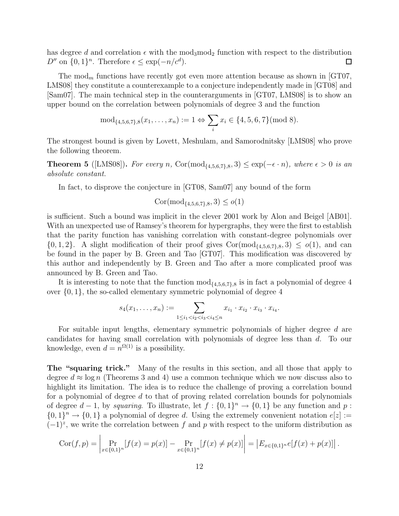has degree d and correlation  $\epsilon$  with the mod<sub>3</sub>mod<sub>2</sub> function with respect to the distribution  $D''$  on  $\{0,1\}^n$ . Therefore  $\epsilon \le \exp(-n/c^d)$ .  $\Box$ 

The mod<sub>m</sub> functions have recently got even more attention because as shown in [GT07, LMS08] they constitute a counterexample to a conjecture independently made in [GT08] and [Sam07]. The main technical step in the counterarguments in [GT07, LMS08] is to show an upper bound on the correlation between polynomials of degree 3 and the function

$$
\mathrm{mod}_{\{4,5,6,7\},8}(x_1,\ldots,x_n):=1\Leftrightarrow \sum_i x_i\in \{4,5,6,7\} \pmod{8}.
$$

The strongest bound is given by Lovett, Meshulam, and Samorodnitsky [LMS08] who prove the following theorem.

**Theorem 5** ([LMS08]). For every n, Cor(mod<sub>{4,5,6,7},8</sub>,3)  $\leq$  exp( $-\epsilon \cdot n$ ), where  $\epsilon > 0$  is an *absolute constant.*

In fact, to disprove the conjecture in [GT08, Sam07] any bound of the form

$$
Cor(mod_{\{4,5,6,7\},8},3) \leq o(1)
$$

is sufficient. Such a bound was implicit in the clever 2001 work by Alon and Beigel [AB01]. With an unexpected use of Ramsey's theorem for hypergraphs, they were the first to establish that the parity function has vanishing correlation with constant-degree polynomials over  $\{0, 1, 2\}$ . A slight modification of their proof gives  $Cor(mod_{\{4,5,6,7\},8}, 3) \leq o(1)$ , and can be found in the paper by B. Green and Tao [GT07]. This modification was discovered by this author and independently by B. Green and Tao after a more complicated proof was announced by B. Green and Tao.

It is interesting to note that the function  $mod_{\{4,5,6,7\},8}$  is in fact a polynomial of degree 4 over  $\{0,1\}$ , the so-called elementary symmetric polynomial of degree 4

$$
s_4(x_1,\ldots,x_n) := \sum_{1 \leq i_1 < i_2 < i_3 < i_4 \leq n} x_{i_1} \cdot x_{i_2} \cdot x_{i_3} \cdot x_{i_4}.
$$

For suitable input lengths, elementary symmetric polynomials of higher degree d are candidates for having small correlation with polynomials of degree less than d. To our knowledge, even  $d = n^{\Omega(1)}$  is a possibility.

The "squaring trick." Many of the results in this section, and all those that apply to degree  $d \approx \log n$  (Theorems 3 and 4) use a common technique which we now discuss also to highlight its limitation. The idea is to reduce the challenge of proving a correlation bound for a polynomial of degree d to that of proving related correlation bounds for polynomials of degree  $d-1$ , by *squaring*. To illustrate, let  $f: \{0,1\}^n \to \{0,1\}$  be any function and p:  $\{0,1\}^n \to \{0,1\}$  a polynomial of degree d. Using the extremely convenient notation  $e[z] :=$  $(-1)^{z}$ , we write the correlation between f and p with respect to the uniform distribution as

$$
Cor(f, p) = \left| \Pr_{x \in \{0,1\}^n} [f(x) = p(x)] - \Pr_{x \in \{0,1\}^n} [f(x) \neq p(x)] \right| = \left| E_{x \in \{0,1\}^n} e[f(x) + p(x)] \right|.
$$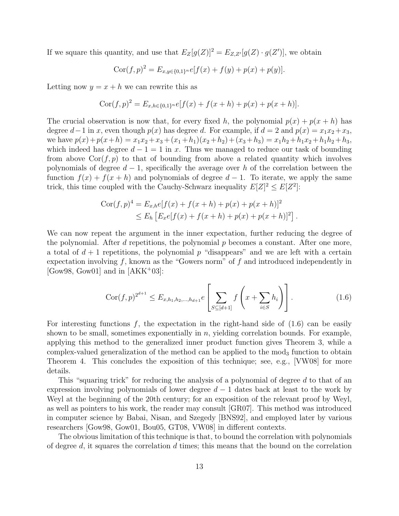If we square this quantity, and use that  $E_Z[g(Z)]^2 = E_{Z,Z'}[g(Z) \cdot g(Z')]$ , we obtain

$$
Cor(f, p)2 = E_{x,y \in \{0,1\}^n} e[f(x) + f(y) + p(x) + p(y)].
$$

Letting now  $y = x + h$  we can rewrite this as

$$
Cor(f, p)2 = Ex, h \in \{0, 1\}n e[f(x) + f(x+h) + p(x) + p(x+h)].
$$

The crucial observation is now that, for every fixed h, the polynomial  $p(x) + p(x + h)$  has degree  $d-1$  in x, even though  $p(x)$  has degree d. For example, if  $d=2$  and  $p(x) = x_1x_2 + x_3$ , we have  $p(x)+p(x+h) = x_1x_2+x_3+(x_1+h_1)(x_2+h_2)+(x_3+h_3) = x_1h_2+h_1x_2+h_1h_2+h_3$ , which indeed has degree  $d - 1 = 1$  in x. Thus we managed to reduce our task of bounding from above  $Cor(f, p)$  to that of bounding from above a related quantity which involves polynomials of degree  $d-1$ , specifically the average over h of the correlation between the function  $f(x) + f(x + h)$  and polynomials of degree  $d - 1$ . To iterate, we apply the same trick, this time coupled with the Cauchy-Schwarz inequality  $E[Z]^2 \leq E[Z^2]$ :

$$
Cor(f, p)4 = Ex,he[f(x) + f(x+h) + p(x) + p(x+h)]2
$$
  
 
$$
\leq Eh [Exe[f(x) + f(x+h) + p(x) + p(x+h)]2].
$$

We can now repeat the argument in the inner expectation, further reducing the degree of the polynomial. After  $d$  repetitions, the polynomial  $p$  becomes a constant. After one more, a total of  $d+1$  repetitions, the polynomial p "disappears" and we are left with a certain expectation involving  $f$ , known as the "Gowers norm" of  $f$  and introduced independently in [Gow98, Gow01] and in  $[AKK^+03]$ :

$$
\operatorname{Cor}(f, p)^{2^{d+1}} \le E_{x, h_1, h_2, \dots, h_{d+1}} e\left[\sum_{S \subseteq [d+1]} f\left(x + \sum_{i \in S} h_i\right)\right].
$$
 (1.6)

For interesting functions f, the expectation in the right-hand side of  $(1.6)$  can be easily shown to be small, sometimes exponentially in  $n$ , yielding correlation bounds. For example, applying this method to the generalized inner product function gives Theorem 3, while a complex-valued generalization of the method can be applied to the  $\text{mod}_3$  function to obtain Theorem 4. This concludes the exposition of this technique; see, e.g., [VW08] for more details.

This "squaring trick" for reducing the analysis of a polynomial of degree d to that of an expression involving polynomials of lower degree  $d-1$  dates back at least to the work by Weyl at the beginning of the 20th century; for an exposition of the relevant proof by Weyl, as well as pointers to his work, the reader may consult [GR07]. This method was introduced in computer science by Babai, Nisan, and Szegedy [BNS92], and employed later by various researchers [Gow98, Gow01, Bou05, GT08, VW08] in different contexts.

The obvious limitation of this technique is that, to bound the correlation with polynomials of degree  $d$ , it squares the correlation  $d$  times; this means that the bound on the correlation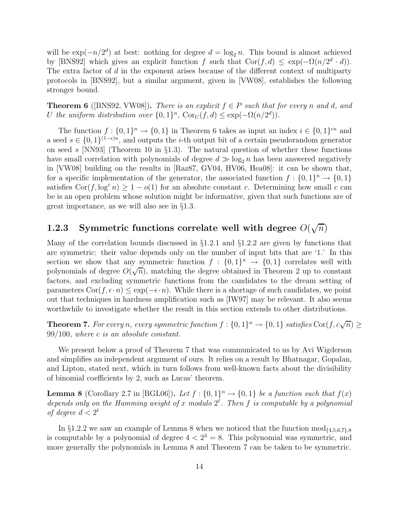will be  $\exp(-n/2^d)$  at best: nothing for degree  $d = \log_2 n$ . This bound is almost achieved by [BNS92] which gives an explicit function f such that  $Cor(f, d) \leq \exp(-\Omega(n/2^d \cdot d)).$ The extra factor of  $d$  in the exponent arises because of the different context of multiparty protocols in [BNS92], but a similar argument, given in [VW08], establishes the following stronger bound.

**Theorem 6** ([BNS92, VW08]). *There is an explicit*  $f \in P$  *such that for every* n and d, and U the uniform distribution over  $\{0,1\}^n$ ,  $Cor_U(f,d) \leq \exp(-\Omega(n/2^d))$ .

The function  $f : \{0,1\}^n \to \{0,1\}$  in Theorem 6 takes as input an index  $i \in \{0,1\}^{en}$  and a seed  $s \in \{0,1\}^{(1-\epsilon)n}$ , and outputs the *i*-th output bit of a certain pseudorandom generator on seed s [NN93] (Theorem 10 in  $\S1.3$ ). The natural question of whether these functions have small correlation with polynomials of degree  $d \gg \log_2 n$  has been answered negatively in [VW08] building on the results in [Raz87, GV04, HV06, Hea08]: it can be shown that, for a specific implementation of the generator, the associated function  $f: \{0,1\}^n \to \{0,1\}$ satisfies  $Cor(f, \log^c n) \ge 1 - o(1)$  for an absolute constant c. Determining how small c can be is an open problem whose solution might be informative, given that such functions are of great importance, as we will also see in §1.3.

# 1.2.3 Symmetric functions correlate well with degree  $O(\sqrt{n})$

Many of the correlation bounds discussed in §1.2.1 and §1.2.2 are given by functions that are symmetric: their value depends only on the number of input bits that are '1.' In this section we show that any symmetric function  $f: \{0,1\}^n \to \{0,1\}$  correlates well with polynomials of degree  $O(\sqrt{n})$ , matching the degree obtained in Theorem 2 up to constant factors, and excluding symmetric functions from the candidates to the dream setting of parameters  $Cor(f, \epsilon \cdot n) \leq exp(-\epsilon \cdot n)$ . While there is a shortage of such candidates, we point out that techniques in hardness amplification such as [IW97] may be relevant. It also seems worthwhile to investigate whether the result in this section extends to other distributions.

**Theorem 7.** For every n, every symmetric function  $f: \{0,1\}^n \to \{0,1\}$  satisfies Cor $(f, c\sqrt{n}) \ge$ 99/100*, where* c *is an absolute constant.*

We present below a proof of Theorem 7 that was communicated to us by Avi Wigderson and simplifies an independent argument of ours. It relies on a result by Bhatnagar, Gopalan, and Lipton, stated next, which in turn follows from well-known facts about the divisibility of binomial coefficients by 2, such as Lucas' theorem.

**Lemma 8** (Corollary 2.7 in [BGL06]). Let  $f : \{0, 1\}^n \to \{0, 1\}$  be a function such that  $f(x)$ *depends only on the Hamming weight of* x *modulo* 2 ℓ *. Then* f *is computable by a polynomial of degree*  $d < 2^{\ell}$ 

In §1.2.2 we saw an example of Lemma 8 when we noticed that the function  $mod_{\{4,5,6,7\},8}$ is computable by a polynomial of degree  $4 < 2<sup>3</sup> = 8$ . This polynomial was symmetric, and more generally the polynomials in Lemma 8 and Theorem 7 can be taken to be symmetric.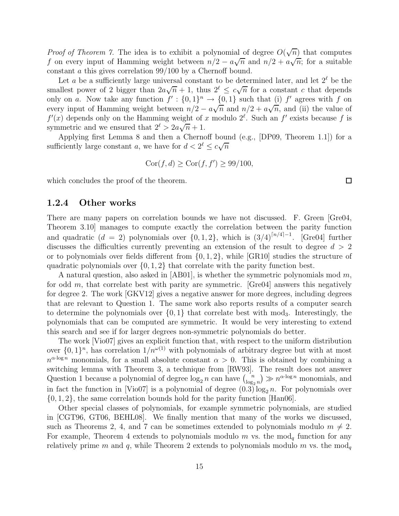*Proof of Theorem 7.* The idea is to exhibit a polynomial of degree  $O(\sqrt{n})$  that computes f on every input of Hamming weight between  $n/2 - a\sqrt{n}$  and  $n/2 + a\sqrt{n}$ ; for a suitable constant a this gives correlation 99/100 by a Chernoff bound.

Let a be a sufficiently large universal constant to be determined later, and let  $2^{\ell}$  be the smallest power of 2 bigger than  $2a\sqrt{n}+1$ , thus  $2^{\ell} \leq c\sqrt{n}$  for a constant c that depends only on a. Now take any function  $f' : \{0,1\}^n \to \{0,1\}$  such that (i) f' agrees with f on every input of Hamming weight between  $n/2 - a\sqrt{n}$  and  $n/2 + a\sqrt{n}$ , and (ii) the value of  $f'(x)$  depends only on the Hamming weight of x modulo  $2^{\ell}$ . Such an f' exists because f is symmetric and we ensured that  $2^{\ell} > 2a\sqrt{n} + 1$ .

Applying first Lemma 8 and then a Chernoff bound (e.g., [DP09, Theorem 1.1]) for a sufficiently large constant a, we have for  $d < 2^{\ell} \leq c\sqrt{n}$ 

$$
Cor(f, d) \geq Cor(f, f') \geq 99/100,
$$

which concludes the proof of the theorem.

#### 1.2.4 Other works

There are many papers on correlation bounds we have not discussed. F. Green [Gre04, Theorem 3.10] manages to compute exactly the correlation between the parity function and quadratic  $(d = 2)$  polynomials over  $\{0, 1, 2\}$ , which is  $(3/4)^{\lceil n/4 \rceil - 1}$ . [Gre04] further discusses the difficulties currently preventing an extension of the result to degree  $d > 2$ or to polynomials over fields different from  $\{0, 1, 2\}$ , while  $|GR10|$  studies the structure of quadratic polynomials over  $\{0, 1, 2\}$  that correlate with the parity function best.

A natural question, also asked in [AB01], is whether the symmetric polynomials mod  $m$ , for odd  $m$ , that correlate best with parity are symmetric. [Gre $\theta$ 4] answers this negatively for degree 2. The work [GKV12] gives a negative answer for more degrees, including degrees that are relevant to Question 1. The same work also reports results of a computer search to determine the polynomials over  $\{0,1\}$  that correlate best with mod<sub>3</sub>. Interestingly, the polynomials that can be computed are symmetric. It would be very interesting to extend this search and see if for larger degrees non-symmetric polynomials do better.

The work [Vio07] gives an explicit function that, with respect to the uniform distribution over  $\{0,1\}^n$ , has correlation  $1/n^{\omega(1)}$  with polynomials of arbitrary degree but with at most  $n^{\alpha \cdot \log n}$  monomials, for a small absolute constant  $\alpha > 0$ . This is obtained by combining a switching lemma with Theorem 3, a technique from [RW93]. The result does not answer Question 1 because a polynomial of degree  $\log_2 n$  can have  $\binom{n}{\log n}$  $\binom{n}{\log_2 n} \gg n^{\alpha \cdot \log n}$  monomials, and in fact the function in [Vio07] is a polynomial of degree  $(0.3) \log_2 n$ . For polynomials over {0, 1, 2}, the same correlation bounds hold for the parity function [Han06].

Other special classes of polynomials, for example symmetric polynomials, are studied in [CGT96, GT06, BEHL08]. We finally mention that many of the works we discussed, such as Theorems 2, 4, and 7 can be sometimes extended to polynomials modulo  $m \neq 2$ . For example, Theorem 4 extends to polynomials modulo m vs. the mod<sub>q</sub> function for any relatively prime m and q, while Theorem 2 extends to polynomials modulo m vs. the mod<sub>q</sub>

 $\Box$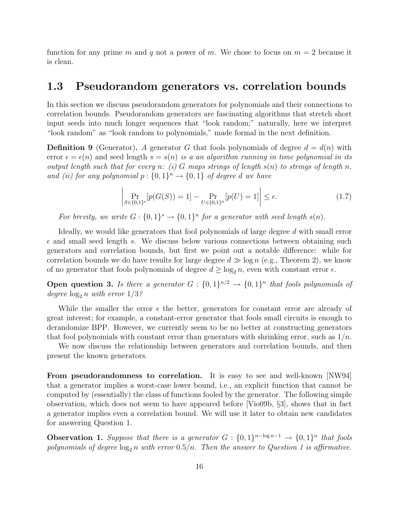function for any prime m and q not a power of m. We chose to focus on  $m = 2$  because it is clean.

### 1.3 Pseudorandom generators vs. correlation bounds

In this section we discuss pseudorandom generators for polynomials and their connections to correlation bounds. Pseudorandom generators are fascinating algorithms that stretch short input seeds into much longer sequences that "look random;" naturally, here we interpret "look random" as "look random to polynomials," made formal in the next definition.

**Definition 9** (Generator). A generator G that fools polynomials of degree  $d = d(n)$  with error  $\epsilon = \epsilon(n)$  and seed length  $s = s(n)$  *is a an algorithm running in time polynomial in its output length such that for every* n*: (i)* G *maps strings of length* s(n) *to strings of length* n*, and (ii) for any polynomial*  $p: \{0, 1\}^n \to \{0, 1\}$  *of degree d we have* 

$$
\left| \Pr_{S \in \{0,1\}^s} [p(G(S))] = 1 \right| - \Pr_{U \in \{0,1\}^n} [p(U) = 1] \right| \le \epsilon.
$$
 (1.7)

For brevity, we write  $G: \{0,1\}^s \to \{0,1\}^n$  for a generator with seed length  $s(n)$ .

Ideally, we would like generators that fool polynomials of large degree d with small error  $\epsilon$  and small seed length s. We discuss below various connections between obtaining such generators and correlation bounds, but first we point out a notable difference: while for correlation bounds we do have results for large degree  $d \gg \log n$  (e.g., Theorem 2), we know of no generator that fools polynomials of degree  $d \geq \log_2 n$ , even with constant error  $\epsilon$ .

**Open question 3.** *Is there a generator*  $G: \{0,1\}^{n/2} \rightarrow \{0,1\}^n$  *that fools polynomials of degree*  $\log_2 n$  *with error*  $1/3$ ?

While the smaller the error  $\epsilon$  the better, generators for constant error are already of great interest; for example, a constant-error generator that fools small circuits is enough to derandomize BPP. However, we currently seem to be no better at constructing generators that fool polynomials with constant error than generators with shrinking error, such as  $1/n$ .

We now discuss the relationship between generators and correlation bounds, and then present the known generators.

From pseudorandomness to correlation. It is easy to see and well-known [NW94] that a generator implies a worst-case lower bound, i.e., an explicit function that cannot be computed by (essentially) the class of functions fooled by the generator. The following simple observation, which does not seem to have appeared before [Vio09b, §3], shows that in fact a generator implies even a correlation bound. We will use it later to obtain new candidates for answering Question 1.

**Observation 1.** Suppose that there is a generator  $G: \{0,1\}^{n-\log n-1} \to \{0,1\}^n$  that fools polynomials of degree  $\log_2 n$  with error  $0.5/n$ . Then the answer to Question 1 is affirmative.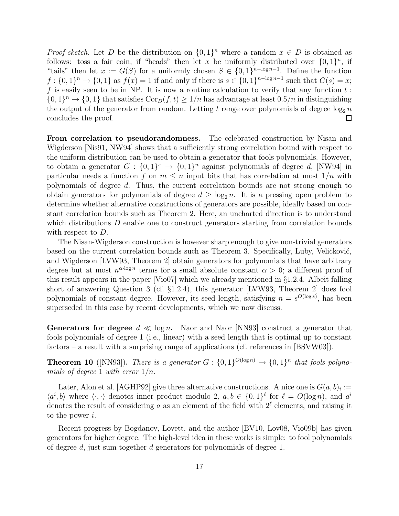*Proof sketch.* Let D be the distribution on  $\{0, 1\}^n$  where a random  $x \in D$  is obtained as follows: toss a fair coin, if "heads" then let x be uniformly distributed over  $\{0, 1\}^n$ , if "tails" then let  $x := G(S)$  for a uniformly chosen  $S \in \{0,1\}^{n-\log n-1}$ . Define the function  $f: \{0,1\}^n \to \{0,1\}$  as  $f(x) = 1$  if and only if there is  $s \in \{0,1\}^{n-\log n-1}$  such that  $G(s) = x$ ; f is easily seen to be in NP. It is now a routine calculation to verify that any function  $t$ :  $\{0,1\}^n \to \{0,1\}$  that satisfies  $Cor_D(f, t) \geq 1/n$  has advantage at least  $0.5/n$  in distinguishing the output of the generator from random. Letting t range over polynomials of degree  $\log_2 n$ concludes the proof.  $\Box$ 

From correlation to pseudorandomness. The celebrated construction by Nisan and Wigderson [Nis91, NW94] shows that a sufficiently strong correlation bound with respect to the uniform distribution can be used to obtain a generator that fools polynomials. However, to obtain a generator  $G: \{0,1\}^s \to \{0,1\}^n$  against polynomials of degree d, [NW94] in particular needs a function f on  $m \leq n$  input bits that has correlation at most  $1/n$  with polynomials of degree d. Thus, the current correlation bounds are not strong enough to obtain generators for polynomials of degree  $d \geq \log_2 n$ . It is a pressing open problem to determine whether alternative constructions of generators are possible, ideally based on constant correlation bounds such as Theorem 2. Here, an uncharted direction is to understand which distributions D enable one to construct generators starting from correlation bounds with respect to  $D$ .

The Nisan-Wigderson construction is however sharp enough to give non-trivial generators based on the current correlation bounds such as Theorem 3. Specifically, Luby, Veličković, and Wigderson [LVW93, Theorem 2] obtain generators for polynomials that have arbitrary degree but at most  $n^{\alpha \log n}$  terms for a small absolute constant  $\alpha > 0$ ; a different proof of this result appears in the paper [Vio07] which we already mentioned in §1.2.4. Albeit falling short of answering Question 3 (cf. §1.2.4), this generator [LVW93, Theorem 2] does fool polynomials of constant degree. However, its seed length, satisfying  $n = s^{O(\log s)}$ , has been superseded in this case by recent developments, which we now discuss.

**Generators for degree**  $d \ll \log n$ . Naor and Naor [NN93] construct a generator that fools polynomials of degree 1 (i.e., linear) with a seed length that is optimal up to constant factors – a result with a surprising range of applications (cf. references in [BSVW03]).

**Theorem 10** ([NN93]). *There is a generator*  $G: \{0,1\}^{O(\log n)} \to \{0,1\}^n$  that fools polyno*mials of degree* 1 *with error* 1/n*.*

Later, Alon et al. [AGHP92] give three alternative constructions. A nice one is  $G(a, b)_i :=$  $\langle a^i, b \rangle$  where  $\langle \cdot, \cdot \rangle$  denotes inner product modulo 2,  $a, b \in \{0, 1\}^{\ell}$  for  $\ell = O(\log n)$ , and  $a^i$ denotes the result of considering a as an element of the field with  $2^{\ell}$  elements, and raising it to the power i.

Recent progress by Bogdanov, Lovett, and the author [BV10, Lov08, Vio09b] has given generators for higher degree. The high-level idea in these works is simple: to fool polynomials of degree d, just sum together d generators for polynomials of degree 1.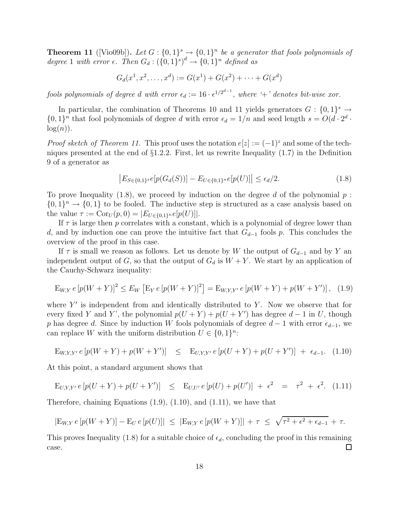**Theorem 11** ([Vio09b]). Let  $G: \{0,1\}^s \to \{0,1\}^n$  be a generator that fools polynomials of *degree* 1 *with error*  $\epsilon$ *. Then*  $G_d$  :  $({0, 1})^s$ <sup> $d$ </sup>  $\rightarrow$   ${0, 1}^n$  *defined as* 

$$
G_d(x^1, x^2, \dots, x^d) := G(x^1) + G(x^2) + \dots + G(x^d)
$$

*fools polynomials of degree d with error*  $\epsilon_d := 16 \cdot \epsilon^{1/2^{d-1}}$ , where '+' denotes bit-wise xor.

In particular, the combination of Theorems 10 and 11 yields generators  $G: \{0,1\}^s \to$  $\{0,1\}^n$  that fool polynomials of degree d with error  $\epsilon_d = 1/n$  and seed length  $s = O(d \cdot 2^d \cdot$  $log(n)$ ).

*Proof sketch of Theorem 11.* This proof uses the notation  $e[z] := (-1)^z$  and some of the techniques presented at the end of §1.2.2. First, let us rewrite Inequality (1.7) in the Definition 9 of a generator as

$$
\left| E_{S \in \{0,1\}^s} e[p(G_d(S))] - E_{U \in \{0,1\}^n} e[p(U)] \right| \le \epsilon_d/2. \tag{1.8}
$$

To prove Inequality (1.8), we proceed by induction on the degree d of the polynomial  $p$ :  $\{0,1\}^n \to \{0,1\}$  to be fooled. The inductive step is structured as a case analysis based on the value  $\tau := \text{Cor}_U(p, 0) = |E_{U \in \{0,1\}^n}e[p(U)]|$ .

If  $\tau$  is large then p correlates with a constant, which is a polynomial of degree lower than d, and by induction one can prove the intuitive fact that  $G_{d-1}$  fools p. This concludes the overview of the proof in this case.

If  $\tau$  is small we reason as follows. Let us denote by W the output of  $G_{d-1}$  and by Y an independent output of G, so that the output of  $G_d$  is  $W + Y$ . We start by an application of the Cauchy-Schwarz inequality:

$$
E_{W,Y} e [p(W+Y)]^2 \le E_W [E_Y e [p(W+Y)]^2] = E_{W,Y,Y'} e [p(W+Y) + p(W+Y')], \quad (1.9)
$$

where  $Y'$  is independent from and identically distributed to Y. Now we observe that for every fixed Y and Y', the polynomial  $p(U+Y) + p(U+Y')$  has degree  $d-1$  in U, though p has degree d. Since by induction W fools polynomials of degree  $d-1$  with error  $\epsilon_{d-1}$ , we can replace W with the uniform distribution  $U \in \{0,1\}^n$ :

$$
E_{W,Y,Y'} e [p(W+Y) + p(W+Y')] \leq E_{U,Y,Y'} e [p(U+Y) + p(U+Y')] + \epsilon_{d-1}.
$$
 (1.10)

At this point, a standard argument shows that

$$
E_{U,Y,Y'} e [p(U+Y) + p(U+Y')] \leq E_{U,U'} e [p(U) + p(U')] + \epsilon^2 = \tau^2 + \epsilon^2. \tag{1.11}
$$

Therefore, chaining Equations  $(1.9)$ ,  $(1.10)$ , and  $(1.11)$ , we have that

$$
|\mathcal{E}_{W,Y} e[p(W+Y)] - \mathcal{E}_U e[p(U)]| \leq |\mathcal{E}_{W,Y} e[p(W+Y)]| + \tau \leq \sqrt{\tau^2 + \epsilon^2 + \epsilon_{d-1}} + \tau.
$$

This proves Inequality (1.8) for a suitable choice of  $\epsilon_d$ , concluding the proof in this remaining case.  $\Box$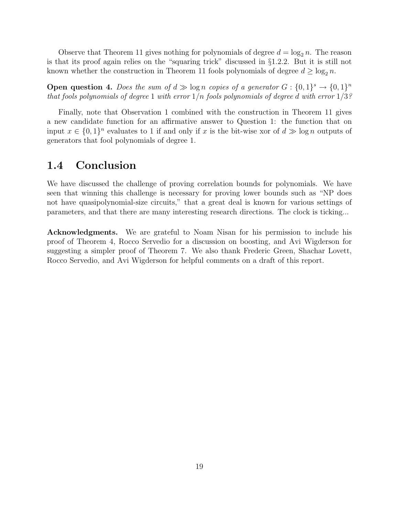Observe that Theorem 11 gives nothing for polynomials of degree  $d = \log_2 n$ . The reason is that its proof again relies on the "squaring trick" discussed in §1.2.2. But it is still not known whether the construction in Theorem 11 fools polynomials of degree  $d \ge \log_2 n$ .

**Open question 4.** Does the sum of  $d \gg \log n$  copies of a generator  $G: \{0,1\}^s \rightarrow \{0,1\}^n$ *that fools polynomials of degree* 1 *with error* 1/n *fools polynomials of degree* d *with error* 1/3*?*

Finally, note that Observation 1 combined with the construction in Theorem 11 gives a new candidate function for an affirmative answer to Question 1: the function that on input  $x \in \{0,1\}^n$  evaluates to 1 if and only if x is the bit-wise xor of  $d \gg \log n$  outputs of generators that fool polynomials of degree 1.

### 1.4 Conclusion

We have discussed the challenge of proving correlation bounds for polynomials. We have seen that winning this challenge is necessary for proving lower bounds such as "NP does not have quasipolynomial-size circuits," that a great deal is known for various settings of parameters, and that there are many interesting research directions. The clock is ticking...

Acknowledgments. We are grateful to Noam Nisan for his permission to include his proof of Theorem 4, Rocco Servedio for a discussion on boosting, and Avi Wigderson for suggesting a simpler proof of Theorem 7. We also thank Frederic Green, Shachar Lovett, Rocco Servedio, and Avi Wigderson for helpful comments on a draft of this report.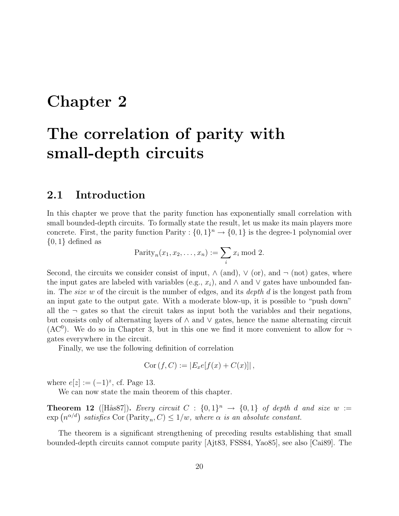# Chapter 2

# The correlation of parity with small-depth circuits

### 2.1 Introduction

In this chapter we prove that the parity function has exponentially small correlation with small bounded-depth circuits. To formally state the result, let us make its main players more concrete. First, the parity function Parity :  $\{0, 1\}^n \to \{0, 1\}$  is the degree-1 polynomial over  $\{0,1\}$  defined as

$$
Parity_n(x_1, x_2, \ldots, x_n) := \sum_i x_i \bmod 2.
$$

Second, the circuits we consider consist of input,  $\wedge$  (and),  $\vee$  (or), and  $\neg$  (not) gates, where the input gates are labeled with variables (e.g.,  $x_i$ ), and  $\wedge$  and  $\vee$  gates have unbounded fanin. The *size* w of the circuit is the number of edges, and its *depth* d is the longest path from an input gate to the output gate. With a moderate blow-up, it is possible to "push down" all the  $\neg$  gates so that the circuit takes as input both the variables and their negations, but consists only of alternating layers of ∧ and ∨ gates, hence the name alternating circuit (AC<sup>0</sup>). We do so in Chapter 3, but in this one we find it more convenient to allow for  $\neg$ gates everywhere in the circuit.

Finally, we use the following definition of correlation

$$
Cor (f, C) := |E_x e[f(x) + C(x)]|,
$$

where  $e[z] := (-1)^z$ , cf. Page 13.

We can now state the main theorem of this chapter.

**Theorem 12** ([Hås87]). *Every circuit*  $C : \{0,1\}^n \rightarrow \{0,1\}$  of depth d and size w :=  $\exp(n^{\alpha/d})$  satisfies  $\text{Cor}(\text{Parity}_n, C) \leq 1/w$ , where  $\alpha$  is an absolute constant.

The theorem is a significant strengthening of preceding results establishing that small bounded-depth circuits cannot compute parity [Ajt83, FSS84, Yao85], see also [Cai89]. The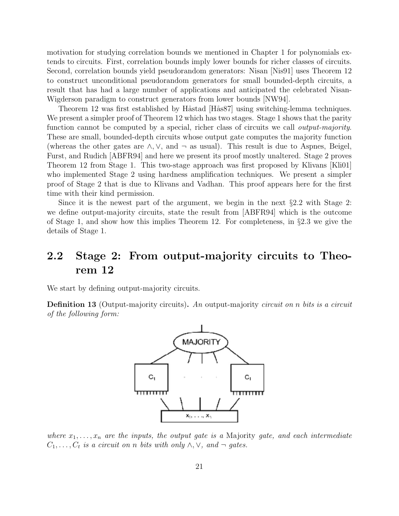motivation for studying correlation bounds we mentioned in Chapter 1 for polynomials extends to circuits. First, correlation bounds imply lower bounds for richer classes of circuits. Second, correlation bounds yield pseudorandom generators: Nisan [Nis91] uses Theorem 12 to construct unconditional pseudorandom generators for small bounded-depth circuits, a result that has had a large number of applications and anticipated the celebrated Nisan-Wigderson paradigm to construct generators from lower bounds [NW94].

Theorem 12 was first established by Håstad [Hås87] using switching-lemma techniques. We present a simpler proof of Theorem 12 which has two stages. Stage 1 shows that the parity function cannot be computed by a special, richer class of circuits we call *output-majority*. These are small, bounded-depth circuits whose output gate computes the majority function (whereas the other gates are  $\wedge$ ,  $\vee$ , and  $\neg$  as usual). This result is due to Aspnes, Beigel, Furst, and Rudich [ABFR94] and here we present its proof mostly unaltered. Stage 2 proves Theorem 12 from Stage 1. This two-stage approach was first proposed by Klivans [Kli01] who implemented Stage 2 using hardness amplification techniques. We present a simpler proof of Stage 2 that is due to Klivans and Vadhan. This proof appears here for the first time with their kind permission.

Since it is the newest part of the argument, we begin in the next §2.2 with Stage 2: we define output-majority circuits, state the result from [ABFR94] which is the outcome of Stage 1, and show how this implies Theorem 12. For completeness, in §2.3 we give the details of Stage 1.

### 2.2 Stage 2: From output-majority circuits to Theorem 12

We start by defining output-majority circuits.

Definition 13 (Output-majority circuits). *An* output-majority *circuit on* n *bits is a circuit of the following form:*



*where*  $x_1, \ldots, x_n$  *are the inputs, the output gate is a* Majority *gate, and each intermediate*  $C_1, \ldots, C_t$  *is a circuit on n bits with only*  $\wedge, \vee,$  *and*  $\neg$  *gates.*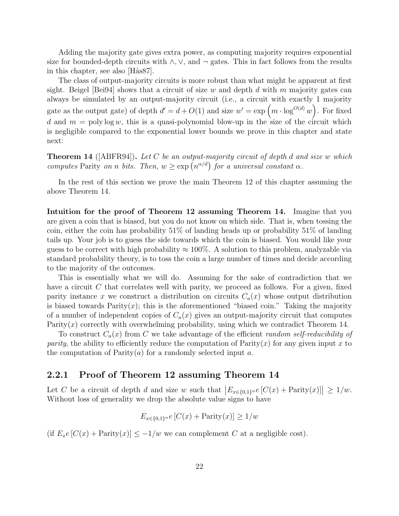Adding the majority gate gives extra power, as computing majority requires exponential size for bounded-depth circuits with  $\wedge$ ,  $\vee$ , and  $\neg$  gates. This in fact follows from the results in this chapter, see also [Hås87].

The class of output-majority circuits is more robust than what might be apparent at first sight. Beigel [Bei94] shows that a circuit of size w and depth d with m majority gates can always be simulated by an output-majority circuit (i.e., a circuit with exactly 1 majority gate as the output gate) of depth  $d' = d + O(1)$  and size  $w' = \exp\left(m \cdot \log^{O(d)} w\right)$ . For fixed d and  $m = \text{poly}\log w$ , this is a quasi-polynomial blow-up in the size of the circuit which is negligible compared to the exponential lower bounds we prove in this chapter and state next:

Theorem 14 ([ABFR94]). *Let* C *be an output-majority circuit of depth* d *and size* w *which computes* Parity *on n bits.* Then,  $w \ge \exp(n^{\alpha/d})$  *for a universal constant*  $\alpha$ *.* 

In the rest of this section we prove the main Theorem 12 of this chapter assuming the above Theorem 14.

Intuition for the proof of Theorem 12 assuming Theorem 14. Imagine that you are given a coin that is biased, but you do not know on which side. That is, when tossing the coin, either the coin has probability 51% of landing heads up or probability 51% of landing tails up. Your job is to guess the side towards which the coin is biased. You would like your guess to be correct with high probability  $\approx 100\%$ . A solution to this problem, analyzable via standard probability theory, is to toss the coin a large number of times and decide according to the majority of the outcomes.

This is essentially what we will do. Assuming for the sake of contradiction that we have a circuit C that correlates well with parity, we proceed as follows. For a given, fixed parity instance x we construct a distribution on circuits  $C_a(x)$  whose output distribution is biased towards  $Parity(x)$ ; this is the aforementioned "biased coin." Taking the majority of a number of independent copies of  $C_a(x)$  gives an output-majority circuit that computes Parity(x) correctly with overwhelming probability, using which we contradict Theorem 14.

To construct Ca(x) from C we take advantage of the efficient *random self-reducibility of parity*, the ability to efficiently reduce the computation of Parity $(x)$  for any given input x to the computation of Parity(*a*) for a randomly selected input *a*.

#### 2.2.1 Proof of Theorem 12 assuming Theorem 14

Let C be a circuit of depth d and size w such that  $|E_{x \in \{0,1\}^n}e[C(x) + \text{Parity}(x)]| \ge 1/w$ . Without loss of generality we drop the absolute value signs to have

$$
E_{x \in \{0,1\}^n} e[C(x) + \text{Parity}(x)] \ge 1/w
$$

(if  $E_x e [C(x) + \text{Parity}(x)] \leq -1/w$  we can complement C at a negligible cost).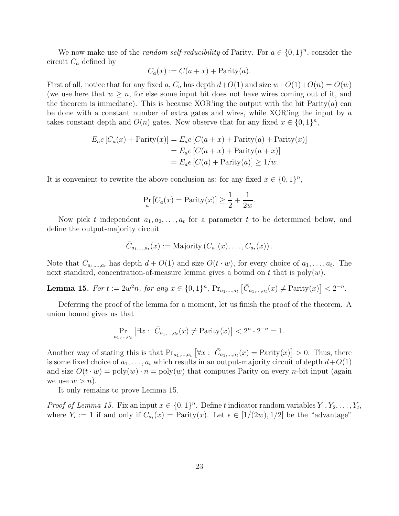We now make use of the *random self-reducibility* of Parity. For  $a \in \{0,1\}^n$ , consider the circuit  $C_a$  defined by

$$
C_a(x) := C(a+x) + \text{Parity}(a).
$$

First of all, notice that for any fixed a,  $C_a$  has depth  $d+O(1)$  and size  $w+O(1)+O(n) = O(w)$ (we use here that  $w \geq n$ , for else some input bit does not have wires coming out of it, and the theorem is immediate). This is because XOR'ing the output with the bit  $Parity(a)$  can be done with a constant number of extra gates and wires, while XOR'ing the input by a takes constant depth and  $O(n)$  gates. Now observe that for any fixed  $x \in \{0,1\}^n$ ,

$$
E_a e [C_a(x) + \text{Parity}(x)] = E_a e [C(a+x) + \text{Parity}(a) + \text{Parity}(x)]
$$
  
= 
$$
E_a e [C(a+x) + \text{Parity}(a+x)]
$$
  
= 
$$
E_a e [C(a) + \text{Parity}(a)] \ge 1/w.
$$

It is convenient to rewrite the above conclusion as: for any fixed  $x \in \{0,1\}^n$ ,

$$
\Pr_a[C_a(x) = \text{Parity}(x)] \ge \frac{1}{2} + \frac{1}{2w}.
$$

Now pick t independent  $a_1, a_2, \ldots, a_t$  for a parameter t to be determined below, and define the output-majority circuit

$$
\overline{C}_{a_1,\ldots,a_t}(x) := \text{Majority}\left(C_{a_1}(x),\ldots,C_{a_t}(x)\right).
$$

Note that  $\bar{C}_{a_1,...,a_t}$  has depth  $d+O(1)$  and size  $O(t \cdot w)$ , for every choice of  $a_1,...,a_t$ . The next standard, concentration-of-measure lemma gives a bound on t that is  $poly(w)$ .

**Lemma 15.** For  $t := 2w^2n$ , for any  $x \in \{0, 1\}^n$ ,  $Pr_{a_1, ..., a_t} [\bar{C}_{a_1, ..., a_t}(x) \neq Parity(x)] < 2^{-n}$ .

Deferring the proof of the lemma for a moment, let us finish the proof of the theorem. A union bound gives us that

$$
\Pr_{a_1,\dots,a_t} \left[ \exists x : \bar{C}_{a_1,\dots,a_t}(x) \neq \text{Parity}(x) \right] < 2^n \cdot 2^{-n} = 1.
$$

Another way of stating this is that  $Pr_{a_1,...,a_t} [\forall x : \bar{C}_{a_1,...,a_t}(x) = Parity(x)] > 0$ . Thus, there is some fixed choice of  $a_1, \ldots, a_t$  which results in an output-majority circuit of depth  $d+O(1)$ and size  $O(t \cdot w) = \text{poly}(w) \cdot n = \text{poly}(w)$  that computes Parity on every *n*-bit input (again we use  $w > n$ ).

It only remains to prove Lemma 15.

*Proof of Lemma 15.* Fix an input  $x \in \{0,1\}^n$ . Define t indicator random variables  $Y_1, Y_2, \ldots, Y_t$ , where  $Y_i := 1$  if and only if  $C_{a_i}(x) = \text{Parity}(x)$ . Let  $\epsilon \in [1/(2w), 1/2]$  be the "advantage"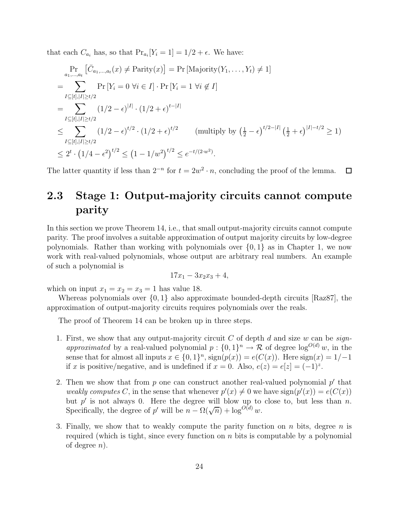that each  $C_{a_i}$  has, so that  $Pr_{a_i}[Y_i = 1] = 1/2 + \epsilon$ . We have:

$$
\Pr_{a_1,\dots,a_t} [\bar{C}_{a_1,\dots,a_t}(x) \neq \text{Parity}(x)] = \Pr \left[\text{Majority}(Y_1,\dots,Y_t) \neq 1\right]
$$
\n
$$
= \sum_{I \subseteq [t],|I| \geq t/2} \Pr \left[Y_i = 0 \,\forall i \in I\right] \cdot \Pr \left[Y_i = 1 \,\forall i \notin I\right]
$$
\n
$$
= \sum_{I \subseteq [t],|I| \geq t/2} (1/2 - \epsilon)^{|I|} \cdot (1/2 + \epsilon)^{t-|I|}
$$
\n
$$
\leq \sum_{I \subseteq [t],|I| \geq t/2} (1/2 - \epsilon)^{t/2} \cdot (1/2 + \epsilon)^{t/2} \qquad \text{(multiply by } \left(\frac{1}{2} - \epsilon\right)^{t/2 - |I|} \left(\frac{1}{2} + \epsilon\right)^{|I| - t/2} \geq 1)
$$
\n
$$
\leq 2^t \cdot (1/4 - \epsilon^2)^{t/2} \leq (1 - 1/w^2)^{t/2} \leq e^{-t/(2 \cdot w^2)}.
$$

The latter quantity if less than  $2^{-n}$  for  $t = 2w^2 \cdot n$ , concluding the proof of the lemma.  $\Box$ 

## 2.3 Stage 1: Output-majority circuits cannot compute parity

In this section we prove Theorem 14, i.e., that small output-majority circuits cannot compute parity. The proof involves a suitable approximation of output majority circuits by low-degree polynomials. Rather than working with polynomials over {0, 1} as in Chapter 1, we now work with real-valued polynomials, whose output are arbitrary real numbers. An example of such a polynomial is

$$
17x_1 - 3x_2x_3 + 4,
$$

which on input  $x_1 = x_2 = x_3 = 1$  has value 18.

Whereas polynomials over  $\{0, 1\}$  also approximate bounded-depth circuits [Raz87], the approximation of output-majority circuits requires polynomials over the reals.

The proof of Theorem 14 can be broken up in three steps.

- 1. First, we show that any output-majority circuit C of depth d and size w can be *signapproximated* by a real-valued polynomial  $p: \{0, 1\}^n \to \mathcal{R}$  of degree  $\log^{O(d)} w$ , in the sense that for almost all inputs  $x \in \{0,1\}^n$ ,  $\text{sign}(p(x)) = e(C(x))$ . Here  $\text{sign}(x) = 1/1$ if x is positive/negative, and is undefined if  $x = 0$ . Also,  $e(z) = e[z] = (-1)^{z}$ .
- 2. Then we show that from  $p$  one can construct another real-valued polynomial  $p'$  that *weakly computes* C, in the sense that whenever  $p'(x) \neq 0$  we have  $sign(p'(x)) = e(C(x))$ but  $p'$  is not always 0. Here the degree will blow up to close to, but less than n. Specifically, the degree of p' will be  $n - \Omega(\sqrt{n}) + \log^{O(d)} w$ .
- 3. Finally, we show that to weakly compute the parity function on  $n$  bits, degree  $n$  is required (which is tight, since every function on  $n$  bits is computable by a polynomial of degree  $n$ ).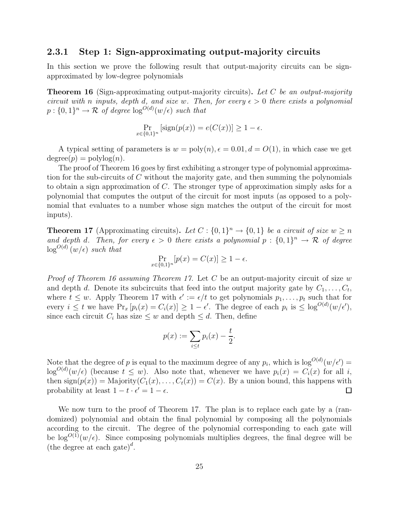#### 2.3.1 Step 1: Sign-approximating output-majority circuits

In this section we prove the following result that output-majority circuits can be signapproximated by low-degree polynomials

Theorem 16 (Sign-approximating output-majority circuits). *Let* C *be an output-majority circuit with* n *inputs, depth* d, and size w. Then, for every  $\epsilon > 0$  there exists a polynomial  $p: \{0,1\}^n \to \mathcal{R}$  of degree  $\log^{O(d)}(w/\epsilon)$  *such that* 

$$
\Pr_{x \in \{0,1\}^n} \left[ sign(p(x)) = e(C(x)) \right] \ge 1 - \epsilon.
$$

A typical setting of parameters is  $w = \text{poly}(n), \epsilon = 0.01, d = O(1)$ , in which case we get  $degree(p) = polylog(n)$ .

The proof of Theorem 16 goes by first exhibiting a stronger type of polynomial approximation for the sub-circuits of C without the majority gate, and then summing the polynomials to obtain a sign approximation of C. The stronger type of approximation simply asks for a polynomial that computes the output of the circuit for most inputs (as opposed to a polynomial that evaluates to a number whose sign matches the output of the circuit for most inputs).

**Theorem 17** (Approximating circuits). Let  $C : \{0,1\}^n \to \{0,1\}$  be a circuit of size  $w \ge n$ and depth d. Then, for every  $\epsilon > 0$  there exists a polynomial  $p: \{0,1\}^n \to \mathcal{R}$  of degree  $\log^{O(d)} (w/\epsilon)$  *such that* 

$$
\Pr_{x \in \{0,1\}^n} [p(x) = C(x)] \ge 1 - \epsilon.
$$

*Proof of Theorem 16 assuming Theorem 17.* Let C be an output-majority circuit of size w and depth d. Denote its subcircuits that feed into the output majority gate by  $C_1, \ldots, C_t$ , where  $t \leq w$ . Apply Theorem 17 with  $\epsilon' := \epsilon/t$  to get polynomials  $p_1, \ldots, p_t$  such that for every  $i \leq t$  we have  $\Pr_x[p_i(x) = C_i(x)] \geq 1 - \epsilon'$ . The degree of each  $p_i$  is  $\leq \log^{O(d)}(w/\epsilon'),$ since each circuit  $C_i$  has size  $\leq w$  and depth  $\leq d$ . Then, define

$$
p(x) := \sum_{i \leq t} p_i(x) - \frac{t}{2}.
$$

Note that the degree of p is equal to the maximum degree of any  $p_i$ , which is  $\log^{O(d)}(w/\epsilon') =$  $\log^{O(d)}(w/\epsilon)$  (because  $t \leq w$ ). Also note that, whenever we have  $p_i(x) = C_i(x)$  for all i, then  $sign(p(x)) = Majority(C_1(x), \ldots, C_t(x)) = C(x)$ . By a union bound, this happens with probability at least  $1 - t \cdot \epsilon' = 1 - \epsilon$ .  $\Box$ 

We now turn to the proof of Theorem 17. The plan is to replace each gate by a (randomized) polynomial and obtain the final polynomial by composing all the polynomials according to the circuit. The degree of the polynomial corresponding to each gate will be  $\log^{O(1)}(w/\epsilon)$ . Since composing polynomials multiplies degrees, the final degree will be (the degree at each gate)<sup>d</sup>.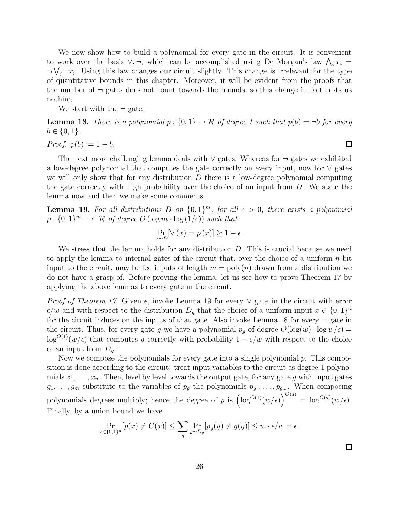We now show how to build a polynomial for every gate in the circuit. It is convenient to work over the basis  $\vee, \neg$ , which can be accomplished using De Morgan's law  $\bigwedge_i x_i =$  $\neg \bigvee_i \neg x_i$ . Using this law changes our circuit slightly. This change is irrelevant for the type of quantitative bounds in this chapter. Moreover, it will be evident from the proofs that the number of  $\neg$  gates does not count towards the bounds, so this change in fact costs us nothing.

We start with the  $\neg$  gate.

**Lemma 18.** *There is a polynomial*  $p: \{0, 1\} \rightarrow \mathcal{R}$  *of degree 1 such that*  $p(b) = \neg b$  *for every*  $b \in \{0, 1\}.$ 

*Proof.*  $p(b) := 1 - b$ .

The next more challenging lemma deals with  $\vee$  gates. Whereas for  $\neg$  gates we exhibited a low-degree polynomial that computes the gate correctly on every input, now for ∨ gates we will only show that for any distribution  $D$  there is a low-degree polynomial computing the gate correctly with high probability over the choice of an input from D. We state the lemma now and then we make some comments.

**Lemma 19.** For all distributions D on  $\{0,1\}^m$ , for all  $\epsilon > 0$ , there exists a polynomial  $p: \{0,1\}^m \rightarrow \mathcal{R}$  of degree  $O(\log m \cdot \log(1/\epsilon))$  such that

$$
\Pr_{x \sim D}[\vee(x) = p(x)] \ge 1 - \epsilon.
$$

We stress that the lemma holds for any distribution  $D$ . This is crucial because we need to apply the lemma to internal gates of the circuit that, over the choice of a uniform  $n$ -bit input to the circuit, may be fed inputs of length  $m = \text{poly}(n)$  drawn from a distribution we do not have a grasp of. Before proving the lemma, let us see how to prove Theorem 17 by applying the above lemmas to every gate in the circuit.

*Proof of Theorem 17.* Given  $\epsilon$ , invoke Lemma 19 for every  $\vee$  gate in the circuit with error  $\epsilon/w$  and with respect to the distribution  $D_g$  that the choice of a uniform input  $x \in \{0,1\}^n$ for the circuit induces on the inputs of that gate. Also invoke Lemma 18 for every  $\neg$  gate in the circuit. Thus, for every gate g we have a polynomial  $p_g$  of degree  $O(\log(w) \cdot \log w/\epsilon)$  =  $\log^{O(1)}(w/\epsilon)$  that computes g correctly with probability  $1 - \epsilon/w$  with respect to the choice of an input from  $D_q$ .

Now we compose the polynomials for every gate into a single polynomial  $p$ . This composition is done according to the circuit: treat input variables to the circuit as degree-1 polynomials  $x_1, \ldots, x_n$ . Then, level by level towards the output gate, for any gate g with input gates  $g_1, \ldots, g_m$  substitute to the variables of  $p_g$  the polynomials  $p_{g_1}, \ldots, p_{g_m}$ . When composing polynomials degrees multiply; hence the degree of p is  $\left(\log^{O(1)}(w/\epsilon)\right)^{O(d)} = \log^{O(d)}(w/\epsilon)$ . Finally, by a union bound we have

$$
\Pr_{x \in \{0,1\}^n} [p(x) \neq C(x)] \leq \sum_g \Pr_{y \sim D_g} [p_g(y) \neq g(y)] \leq w \cdot \epsilon/w = \epsilon.
$$

 $\Box$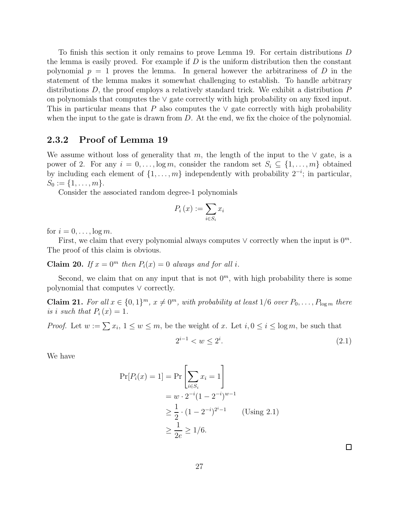To finish this section it only remains to prove Lemma 19. For certain distributions D the lemma is easily proved. For example if  $D$  is the uniform distribution then the constant polynomial  $p = 1$  proves the lemma. In general however the arbitrariness of D in the statement of the lemma makes it somewhat challenging to establish. To handle arbitrary distributions D, the proof employs a relatively standard trick. We exhibit a distribution P on polynomials that computes the ∨ gate correctly with high probability on any fixed input. This in particular means that P also computes the  $\vee$  gate correctly with high probability when the input to the gate is drawn from  $D$ . At the end, we fix the choice of the polynomial.

#### 2.3.2 Proof of Lemma 19

We assume without loss of generality that m, the length of the input to the  $\vee$  gate, is a power of 2. For any  $i = 0, \ldots, \log m$ , consider the random set  $S_i \subseteq \{1, \ldots, m\}$  obtained by including each element of  $\{1, \ldots, m\}$  independently with probability  $2^{-i}$ ; in particular,  $S_0 := \{1, \ldots, m\}.$ 

Consider the associated random degree-1 polynomials

$$
P_i(x) := \sum_{i \in S_i} x_i
$$

for  $i = 0, \ldots, \log m$ .

First, we claim that every polynomial always computes  $\vee$  correctly when the input is  $0^m$ . The proof of this claim is obvious.

**Claim 20.** If  $x = 0^m$  then  $P_i(x) = 0$  always and for all i.

Second, we claim that on any input that is not  $0<sup>m</sup>$ , with high probability there is some polynomial that computes ∨ correctly.

**Claim 21.** For all  $x \in \{0,1\}^m$ ,  $x \neq 0^m$ , with probability at least  $1/6$  over  $P_0, \ldots, P_{\log m}$  there *is i such that*  $P_i(x) = 1$ *.* 

*Proof.* Let  $w := \sum x_i, 1 \le w \le m$ , be the weight of x. Let  $i, 0 \le i \le \log m$ , be such that

$$
2^{i-1} < w \le 2^i. \tag{2.1}
$$

We have

$$
\Pr[P_i(x) = 1] = \Pr\left[\sum_{i \in S_i} x_i = 1\right] \\
= w \cdot 2^{-i} (1 - 2^{-i})^{w-1} \\
\ge \frac{1}{2} \cdot (1 - 2^{-i})^{2^i - 1} \qquad \text{(Using 2.1)} \\
\ge \frac{1}{2e} \ge 1/6.
$$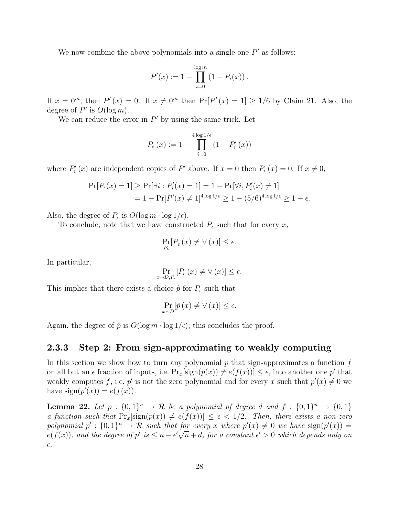We now combine the above polynomials into a single one  $P'$  as follows:

$$
P'(x) := 1 - \prod_{i=0}^{\log m} (1 - P_i(x)).
$$

If  $x = 0^m$ , then  $P'(x) = 0$ . If  $x \neq 0^m$  then  $\Pr[P'(x) = 1] \ge 1/6$  by Claim 21. Also, the degree of  $P'$  is  $O(\log m)$ .

We can reduce the error in  $P'$  by using the same trick. Let

$$
P_{\epsilon}(x) := 1 - \prod_{i=0}^{4 \log 1/\epsilon} (1 - P'_i(x))
$$

where  $P'_i(x)$  are independent copies of P' above. If  $x = 0$  then  $P_\epsilon(x) = 0$ . If  $x \neq 0$ ,

$$
\Pr[P_{\epsilon}(x) = 1] \ge \Pr[\exists i : P_{i}'(x) = 1] = 1 - \Pr[\forall i, P_{i}'(x) \ne 1]
$$
  
= 1 - \Pr[P'(x) \ne 1]^{4 \log 1/\epsilon} \ge 1 - (5/6)^{4 \log 1/\epsilon} \ge 1 - \epsilon.

Also, the degree of  $P_{\epsilon}$  is  $O(\log m \cdot \log 1/\epsilon)$ .

To conclude, note that we have constructed  $P_{\epsilon}$  such that for every x,

$$
\Pr_{P_{\epsilon}}[P_{\epsilon}(x) \neq \vee(x)] \leq \epsilon.
$$

In particular,

$$
\Pr_{x \sim D, P_{\epsilon}}[P_{\epsilon}(x) \neq \vee(x)] \leq \epsilon.
$$

This implies that there exists a choice  $\hat{p}$  for  $P_{\epsilon}$  such that

$$
\Pr_{x \sim D}[\hat{p}(x) \neq \vee(x)] \leq \epsilon.
$$

Again, the degree of  $\hat{p}$  is  $O(\log m \cdot \log 1/\epsilon)$ ; this concludes the proof.

#### 2.3.3 Step 2: From sign-approximating to weakly computing

In this section we show how to turn any polynomial  $p$  that sign-approximates a function  $f$ on all but an  $\epsilon$  fraction of inputs, i.e.  $Pr_x[sign(p(x)) \neq e(f(x))] \leq \epsilon$ , into another one p' that weakly computes f, i.e.  $p'$  is not the zero polynomial and for every x such that  $p'(x) \neq 0$  we have  $sign(p'(x)) = e(f(x))$ .

**Lemma 22.** Let  $p: \{0,1\}^n \to \mathcal{R}$  be a polynomial of degree d and  $f: \{0,1\}^n \to \{0,1\}$ *a function such that*  $Pr_x[sign(p(x)) \neq e(f(x))] \leq \epsilon < 1/2$ *. Then, there exists a non-zero* polynomial  $p' : \{0,1\}^n \to \mathcal{R}$  such that for every x where  $p'(x) \neq 0$  we have  $sign(p'(x)) =$  $e(f(x))$ , and the degree of p' is  $\leq n - \epsilon' \sqrt{n} + d$ , for a constant  $\epsilon' > 0$  which depends only on ǫ*.*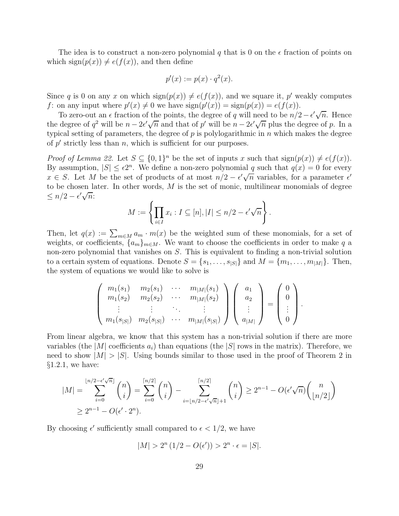The idea is to construct a non-zero polynomial q that is 0 on the  $\epsilon$  fraction of points on which sign $(p(x)) \neq e(f(x))$ , and then define

$$
p'(x) := p(x) \cdot q^2(x).
$$

Since q is 0 on any x on which  $sign(p(x)) \neq e(f(x))$ , and we square it, p' weakly computes f: on any input where  $p'(x) \neq 0$  we have  $sign(p'(x)) = sign(p(x)) = e(f(x))$ .

To zero-out an  $\epsilon$  fraction of the points, the degree of q will need to be  $n/2 - \epsilon'\sqrt{n}$ . Hence the degree of  $q^2$  will be  $n - 2\epsilon'\sqrt{n}$  and that of p' will be  $n - 2\epsilon'\sqrt{n}$  plus the degree of p. In a typical setting of parameters, the degree of  $p$  is polylogarithmic in  $n$  which makes the degree of  $p'$  strictly less than  $n$ , which is sufficient for our purposes.

*Proof of Lemma 22.* Let  $S \subseteq \{0,1\}^n$  be the set of inputs x such that  $sign(p(x)) \neq e(f(x))$ . By assumption,  $|S| \leq \epsilon 2^n$ . We define a non-zero polynomial q such that  $q(x) = 0$  for every  $x \in S$ . Let M be the set of products of at most  $n/2 - \epsilon' \sqrt{n}$  variables, for a parameter  $\epsilon'$ to be chosen later. In other words,  $M$  is the set of monic, multilinear monomials of degree  $\leq n/2 - \epsilon' \sqrt{n}$ 

$$
M := \left\{ \prod_{i \in I} x_i : I \subseteq [n], |I| \leq n/2 - \epsilon' \sqrt{n} \right\}.
$$

Then, let  $q(x) := \sum_{m \in M} a_m \cdot m(x)$  be the weighted sum of these monomials, for a set of weights, or coefficients,  ${a_m}_{m\in M}$ . We want to choose the coefficients in order to make q a non-zero polynomial that vanishes on S. This is equivalent to finding a non-trivial solution to a certain system of equations. Denote  $S = \{s_1, \ldots, s_{|S|}\}\$  and  $M = \{m_1, \ldots, m_{|M|}\}\$ . Then, the system of equations we would like to solve is

$$
\begin{pmatrix}\nm_1(s_1) & m_2(s_1) & \cdots & m_{|M|}(s_1) \\
m_1(s_2) & m_2(s_2) & \cdots & m_{|M|}(s_2) \\
\vdots & \vdots & \ddots & \vdots \\
m_1(s_{|S|}) & m_2(s_{|S|}) & \cdots & m_{|M|}(s_{|S|})\n\end{pmatrix}\n\begin{pmatrix}\na_1 \\
a_2 \\
\vdots \\
a_{|M|}\n\end{pmatrix} =\n\begin{pmatrix}\n0 \\
0 \\
\vdots \\
0\n\end{pmatrix}.
$$

From linear algebra, we know that this system has a non-trivial solution if there are more variables (the  $|M|$  coefficients  $a_i$ ) than equations (the  $|S|$  rows in the matrix). Therefore, we need to show  $|M| > |S|$ . Using bounds similar to those used in the proof of Theorem 2 in  $§1.2.1$ , we have:

$$
|M| = \sum_{i=0}^{\lfloor n/2 - \epsilon' \sqrt{n} \rfloor} \binom{n}{i} = \sum_{i=0}^{\lceil n/2 \rceil} \binom{n}{i} - \sum_{i=\lfloor n/2 - \epsilon' \sqrt{n} \rfloor + 1}^{\lceil n/2 \rceil} \binom{n}{i} \ge 2^{n-1} - O(\epsilon' \sqrt{n}) \binom{n}{\lfloor n/2 \rfloor}
$$
  
 
$$
\ge 2^{n-1} - O(\epsilon' \cdot 2^n).
$$

By choosing  $\epsilon'$  sufficiently small compared to  $\epsilon < 1/2$ , we have

$$
|M| > 2^{n} (1/2 - O(\epsilon')) > 2^{n} \cdot \epsilon = |S|.
$$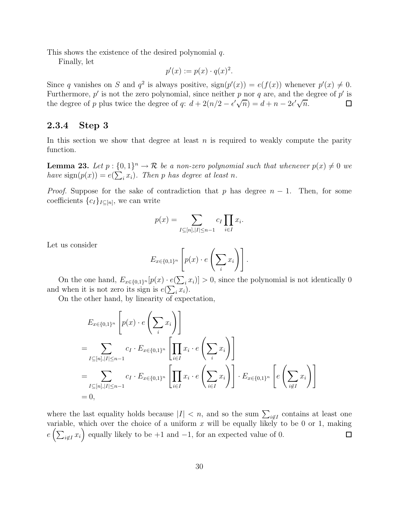This shows the existence of the desired polynomial q.

Finally, let

$$
p'(x) := p(x) \cdot q(x)^2.
$$

Since q vanishes on S and  $q^2$  is always positive,  $sign(p'(x)) = e(f(x))$  whenever  $p'(x) \neq 0$ . Furthermore,  $p'$  is not the zero polynomial, since neither p nor q are, and the degree of  $p'$  is the degree of p plus twice the degree of q:  $d + 2(n/2 - \epsilon'\sqrt{n}) = d + n - 2\epsilon'\sqrt{n}$ .  $\Box$ 

#### 2.3.4 Step 3

In this section we show that degree at least  $n$  is required to weakly compute the parity function.

**Lemma 23.** Let  $p: \{0,1\}^n \to \mathcal{R}$  be a non-zero polynomial such that whenever  $p(x) \neq 0$  we *have*  $sign(p(x)) = e(\sum_{i} x_i)$ *. Then p has degree at least n.* 

*Proof.* Suppose for the sake of contradiction that p has degree  $n - 1$ . Then, for some coefficients  ${c_I}_{I \subseteq [n]}$ , we can write

$$
p(x) = \sum_{I \subseteq [n], |I| \le n-1} c_I \prod_{i \in I} x_i.
$$

Let us consider

$$
E_{x \in \{0,1\}^n} \left[ p(x) \cdot e\left(\sum_i x_i\right) \right].
$$

On the one hand,  $E_{x \in \{0,1\}^n}[p(x) \cdot e(\sum_i x_i)] > 0$ , since the polynomial is not identically 0 and when it is not zero its sign is  $e(\sum_i x_i)$ .

On the other hand, by linearity of expectation,

$$
E_{x \in \{0,1\}^n} \left[ p(x) \cdot e\left(\sum_i x_i\right) \right]
$$
  
= 
$$
\sum_{I \subseteq [n], |I| \le n-1} c_I \cdot E_{x \in \{0,1\}^n} \left[ \prod_{i \in I} x_i \cdot e\left(\sum_i x_i\right) \right]
$$
  
= 
$$
\sum_{I \subseteq [n], |I| \le n-1} c_I \cdot E_{x \in \{0,1\}^n} \left[ \prod_{i \in I} x_i \cdot e\left(\sum_{i \in I} x_i\right) \right] \cdot E_{x \in \{0,1\}^n} \left[ e\left(\sum_{i \notin I} x_i\right) \right]
$$
  
= 0,

where the last equality holds because  $|I| < n$ , and so the sum  $\sum_{i \notin I}$  contains at least one variable, which over the choice of a uniform  $x$  will be equally likely to be 0 or 1, making  $e\left(\sum_{i\notin I} x_i\right)$  equally likely to be +1 and -1, for an expected value of 0.  $\Box$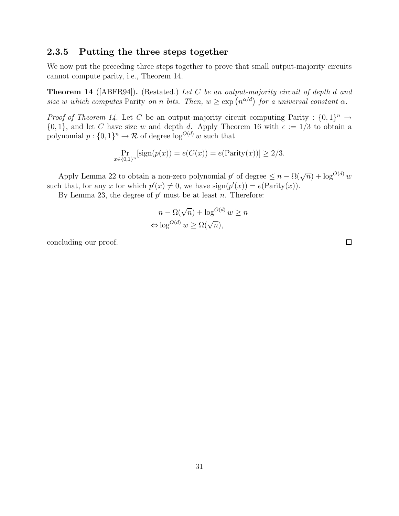#### 2.3.5 Putting the three steps together

We now put the preceding three steps together to prove that small output-majority circuits cannot compute parity, i.e., Theorem 14.

Theorem 14 ([ABFR94]). (Restated.) *Let* C *be an output-majority circuit of depth* d *and size* w which computes Parity on *n* bits. Then,  $w \ge \exp(n^{\alpha/d})$  for a universal constant  $\alpha$ .

*Proof of Theorem 14.* Let C be an output-majority circuit computing Parity :  $\{0,1\}^n \rightarrow$  $\{0, 1\}$ , and let C have size w and depth d. Apply Theorem 16 with  $\epsilon := 1/3$  to obtain a polynomial  $p: \{0,1\}^n \to \mathcal{R}$  of degree  $\log^{O(d)} w$  such that

$$
\Pr_{x \in \{0,1\}^n}[\text{sign}(p(x)) = e(C(x)) = e(\text{Parity}(x))] \ge 2/3.
$$

Apply Lemma 22 to obtain a non-zero polynomial  $p'$  of degree  $\leq n - \Omega(\sqrt{n}) + \log^{O(d)} w$ such that, for any x for which  $p'(x) \neq 0$ , we have  $sign(p'(x)) = e(Parity(x))$ .

By Lemma 23, the degree of  $p'$  must be at least n. Therefore:

$$
n - \Omega(\sqrt{n}) + \log^{O(d)} w \ge n
$$
  

$$
\Leftrightarrow \log^{O(d)} w \ge \Omega(\sqrt{n}),
$$

concluding our proof.

 $\Box$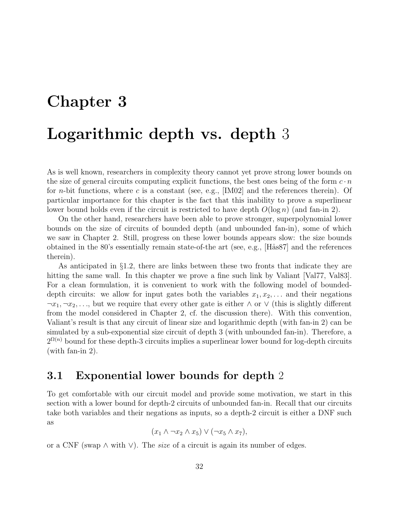# Chapter 3

# Logarithmic depth vs. depth 3

As is well known, researchers in complexity theory cannot yet prove strong lower bounds on the size of general circuits computing explicit functions, the best ones being of the form  $c \cdot n$ for *n*-bit functions, where c is a constant (see, e.g.,  $|IM02|$  and the references therein). Of particular importance for this chapter is the fact that this inability to prove a superlinear lower bound holds even if the circuit is restricted to have depth  $O(\log n)$  (and fan-in 2).

On the other hand, researchers have been able to prove stronger, superpolynomial lower bounds on the size of circuits of bounded depth (and unbounded fan-in), some of which we saw in Chapter 2. Still, progress on these lower bounds appears slow: the size bounds obtained in the  $80$ 's essentially remain state-of-the art (see, e.g., [H $\hat{a}$ s87] and the references therein).

As anticipated in §1.2, there are links between these two fronts that indicate they are hitting the same wall. In this chapter we prove a fine such link by Valiant [Val77, Val83]. For a clean formulation, it is convenient to work with the following model of boundeddepth circuits: we allow for input gates both the variables  $x_1, x_2, \ldots$  and their negations  $\neg x_1, \neg x_2, \dots$ , but we require that every other gate is either  $\wedge$  or  $\vee$  (this is slightly different from the model considered in Chapter 2, cf. the discussion there). With this convention, Valiant's result is that any circuit of linear size and logarithmic depth (with fan-in 2) can be simulated by a sub-exponential size circuit of depth 3 (with unbounded fan-in). Therefore, a  $2^{\Omega(n)}$  bound for these depth-3 circuits implies a superlinear lower bound for log-depth circuits (with fan-in 2).

### 3.1 Exponential lower bounds for depth 2

To get comfortable with our circuit model and provide some motivation, we start in this section with a lower bound for depth-2 circuits of unbounded fan-in. Recall that our circuits take both variables and their negations as inputs, so a depth-2 circuit is either a DNF such as

$$
(x_1 \wedge \neg x_2 \wedge x_5) \vee (\neg x_5 \wedge x_7),
$$

or a CNF (swap ∧ with ∨). The *size* of a circuit is again its number of edges.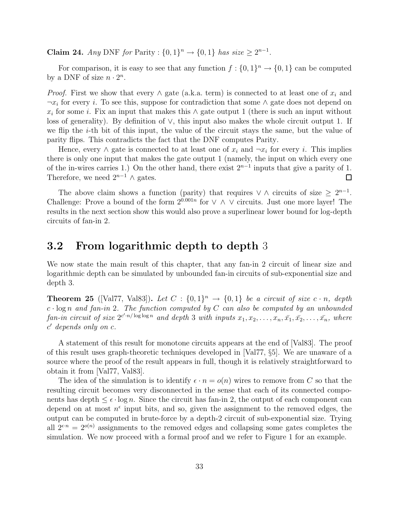**Claim 24.** *Any* DNF *for* Parity : {0, 1}<sup>*n*</sup> → {0, 1} *has size* ≥  $2^{n-1}$ *.* 

For comparison, it is easy to see that any function  $f: \{0,1\}^n \to \{0,1\}$  can be computed by a DNF of size  $n \cdot 2^n$ .

*Proof.* First we show that every  $\wedge$  gate (a.k.a. term) is connected to at least one of  $x_i$  and  $\neg x_i$  for every *i*. To see this, suppose for contradiction that some  $\wedge$  gate does not depend on  $x_i$  for some i. Fix an input that makes this  $\wedge$  gate output 1 (there is such an input without loss of generality). By definition of ∨, this input also makes the whole circuit output 1. If we flip the i-th bit of this input, the value of the circuit stays the same, but the value of parity flips. This contradicts the fact that the DNF computes Parity.

Hence, every  $\wedge$  gate is connected to at least one of  $x_i$  and  $\neg x_i$  for every *i*. This implies there is only one input that makes the gate output 1 (namely, the input on which every one of the in-wires carries 1.) On the other hand, there exist  $2^{n-1}$  inputs that give a parity of 1. Therefore, we need  $2^{n-1} \wedge$  gates.  $\Box$ 

The above claim shows a function (parity) that requires  $\vee \wedge$  circuits of size  $\geq 2^{n-1}$ . Challenge: Prove a bound of the form  $2^{0.001n}$  for  $\vee \wedge \vee$  circuits. Just one more layer! The results in the next section show this would also prove a superlinear lower bound for log-depth circuits of fan-in 2.

### 3.2 From logarithmic depth to depth 3

We now state the main result of this chapter, that any fan-in 2 circuit of linear size and logarithmic depth can be simulated by unbounded fan-in circuits of sub-exponential size and depth 3.

**Theorem 25** ([Val77, Val83]). Let  $C : \{0,1\}^n \rightarrow \{0,1\}$  be a circuit of size  $c \cdot n$ , depth c · log n *and fan-in* 2*. The function computed by* C *can also be computed by an unbounded*  $fan-in\ circuit\ of\ size\ 2^{c'n/\log\log n}\ and\ depth\ 3\ with\ inputs\ x_1, x_2, \ldots, x_n, \bar{x_1}, \bar{x_2}, \ldots, \bar{x_n},\ where$ c ′ *depends only on* c*.*

A statement of this result for monotone circuits appears at the end of [Val83]. The proof of this result uses graph-theoretic techniques developed in [Val77, §5]. We are unaware of a source where the proof of the result appears in full, though it is relatively straightforward to obtain it from [Val77, Val83].

The idea of the simulation is to identify  $\epsilon \cdot n = o(n)$  wires to remove from C so that the resulting circuit becomes very disconnected in the sense that each of its connected components has depth  $\leq \epsilon \cdot \log n$ . Since the circuit has fan-in 2, the output of each component can depend on at most  $n^{\epsilon}$  input bits, and so, given the assignment to the removed edges, the output can be computed in brute-force by a depth-2 circuit of sub-exponential size. Trying all  $2^{\epsilon n} = 2^{o(n)}$  assignments to the removed edges and collapsing some gates completes the simulation. We now proceed with a formal proof and we refer to Figure 1 for an example.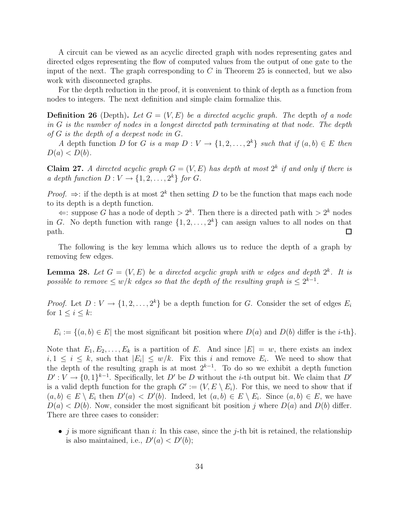A circuit can be viewed as an acyclic directed graph with nodes representing gates and directed edges representing the flow of computed values from the output of one gate to the input of the next. The graph corresponding to  $C$  in Theorem 25 is connected, but we also work with disconnected graphs.

For the depth reduction in the proof, it is convenient to think of depth as a function from nodes to integers. The next definition and simple claim formalize this.

**Definition 26** (Depth). Let  $G = (V, E)$  be a directed acyclic graph. The depth of a node *in* G *is the number of nodes in a longest directed path terminating at that node. The depth of* G *is the depth of a deepest node in* G*.*

*A* depth function D for G *is a map*  $D: V \to \{1, 2, ..., 2^k\}$  *such that if*  $(a, b) \in E$  *then*  $D(a) < D(b)$ .

**Claim 27.** A directed acyclic graph  $G = (V, E)$  has depth at most  $2<sup>k</sup>$  if and only if there is *a depth function*  $D: V \to \{1, 2, ..., 2^k\}$  for  $G$ .

*Proof.*  $\Rightarrow$ : if the depth is at most  $2^k$  then setting D to be the function that maps each node to its depth is a depth function.

 $\Leftarrow$ : suppose G has a node of depth > 2<sup>k</sup>. Then there is a directed path with > 2<sup>k</sup> nodes in G. No depth function with range  $\{1, 2, \ldots, 2^k\}$  can assign values to all nodes on that path.

The following is the key lemma which allows us to reduce the depth of a graph by removing few edges.

**Lemma 28.** Let  $G = (V, E)$  be a directed acyclic graph with w edges and depth  $2^k$ . It is *possible to remove*  $\leq w/k$  *edges so that the depth of the resulting graph is*  $\leq 2^{k-1}$ *.* 

*Proof.* Let  $D: V \to \{1, 2, ..., 2^k\}$  be a depth function for G. Consider the set of edges  $E_i$ for  $1 \leq i \leq k$ :

 $E_i := \{(a, b) \in E | \text{ the most significant bit position where } D(a) \text{ and } D(b) \text{ differ is the } i\text{-th}\}.$ 

Note that  $E_1, E_2, \ldots, E_k$  is a partition of E. And since  $|E| = w$ , there exists an index  $i, 1 \leq i \leq k$ , such that  $|E_i| \leq w/k$ . Fix this i and remove  $E_i$ . We need to show that the depth of the resulting graph is at most  $2^{k-1}$ . To do so we exhibit a depth function  $D': V \to \{0,1\}^{k-1}$ . Specifically, let D' be D without the *i*-th output bit. We claim that D' is a valid depth function for the graph  $G' := (V, E \setminus E_i)$ . For this, we need to show that if  $(a, b) \in E \setminus E_i$  then  $D'(a) < D'(b)$ . Indeed, let  $(a, b) \in E \setminus E_i$ . Since  $(a, b) \in E$ , we have  $D(a) < D(b)$ . Now, consider the most significant bit position j where  $D(a)$  and  $D(b)$  differ. There are three cases to consider:

• j is more significant than i: In this case, since the j-th bit is retained, the relationship is also maintained, i.e.,  $D'(a) < D'(b)$ ;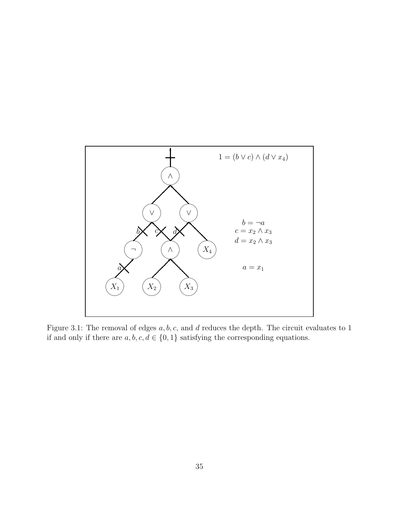

Figure 3.1: The removal of edges  $a, b, c$ , and  $d$  reduces the depth. The circuit evaluates to 1 if and only if there are  $a,b,c,d\in\{0,1\}$  satisfying the corresponding equations.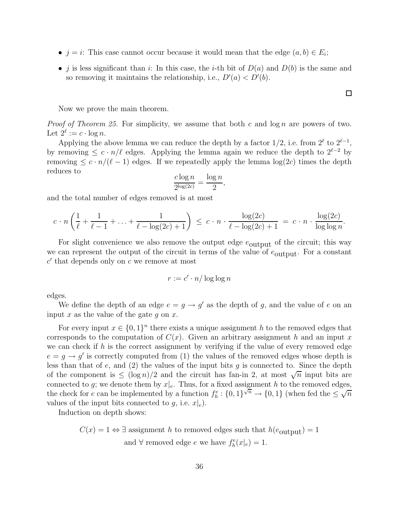- $j = i$ : This case cannot occur because it would mean that the edge  $(a, b) \in E_i$ ;
- *j* is less significant than *i*: In this case, the *i*-th bit of  $D(a)$  and  $D(b)$  is the same and so removing it maintains the relationship, i.e.,  $D'(a) < D'(b)$ .

Now we prove the main theorem.

*Proof of Theorem 25.* For simplicity, we assume that both c and  $\log n$  are powers of two. Let  $2^{\ell} := c \cdot \log n$ .

Applying the above lemma we can reduce the depth by a factor  $1/2$ , i.e. from  $2^{\ell}$  to  $2^{\ell-1}$ , by removing  $\leq c \cdot n/\ell$  edges. Applying the lemma again we reduce the depth to  $2^{\ell-2}$  by removing  $\leq c \cdot n/(\ell-1)$  edges. If we repeatedly apply the lemma  $\log(2c)$  times the depth reduces to

$$
\frac{c \log n}{2^{\log(2c)}} = \frac{\log n}{2},
$$

and the total number of edges removed is at most

$$
c \cdot n\left(\frac{1}{\ell} + \frac{1}{\ell - 1} + \ldots + \frac{1}{\ell - \log(2c) + 1}\right) \leq c \cdot n \cdot \frac{\log(2c)}{\ell - \log(2c) + 1} = c \cdot n \cdot \frac{\log(2c)}{\log\log n}.
$$

For slight convenience we also remove the output edge  $e_{\text{output}}$  of the circuit; this way we can represent the output of the circuit in terms of the value of  $e_{\text{output}}$ . For a constant  $c'$  that depends only on  $c$  we remove at most

$$
r := c' \cdot n / \log \log n
$$

edges.

We define the depth of an edge  $e = g \rightarrow g'$  as the depth of g, and the value of e on an input  $x$  as the value of the gate  $g$  on  $x$ .

For every input  $x \in \{0,1\}^n$  there exists a unique assignment h to the removed edges that corresponds to the computation of  $C(x)$ . Given an arbitrary assignment h and an input x we can check if h is the correct assignment by verifying if the value of every removed edge  $e = g \rightarrow g'$  is correctly computed from (1) the values of the removed edges whose depth is less than that of  $e$ , and  $(2)$  the values of the input bits  $g$  is connected to. Since the depth of the component is  $\leq (\log n)/2$  and the circuit has fan-in 2, at most  $\sqrt{n}$  input bits are connected to g; we denote them by  $x|_e$ . Thus, for a fixed assignment h to the removed edges, the check for e can be implemented by a function  $f_h^e: \{0,1\}^{\sqrt{n}} \to \{0,1\}$  (when fed the  $\leq \sqrt{n}$ values of the input bits connected to g, i.e.  $x|_e$ .

Induction on depth shows:

$$
C(x) = 1 \Leftrightarrow \exists \text{ assignment } h \text{ to removed edges such that } h(e_{\text{output}}) = 1
$$
  
and  $\forall$  removed edge  $e$  we have  $f_h^e(x|_e) = 1$ .

 $\Box$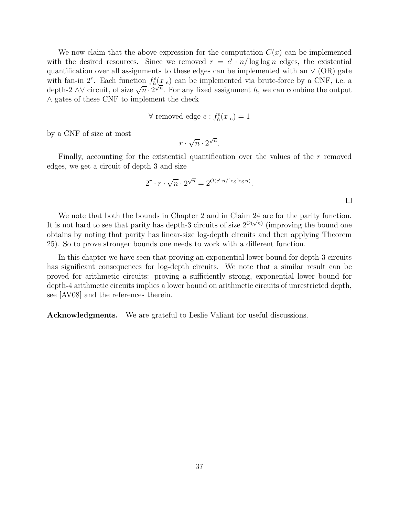We now claim that the above expression for the computation  $C(x)$  can be implemented with the desired resources. Since we removed  $r = c' \cdot n / \log \log n$  edges, the existential quantification over all assignments to these edges can be implemented with an  $\vee$  (OR) gate with fan-in 2<sup>r</sup>. Each function  $f_h^e(x|e)$  can be implemented via brute-force by a CNF, i.e. a depth-2  $\wedge \vee$  circuit, of size  $\sqrt{n} \cdot 2^{\sqrt{n}}$ . For any fixed assignment h, we can combine the output ∧ gates of these CNF to implement the check

$$
\forall \text{ removed edge } e : f_h^e(x|_e) = 1
$$

by a CNF of size at most

$$
r \cdot \sqrt{n} \cdot 2^{\sqrt{n}}.
$$

Finally, accounting for the existential quantification over the values of the  $r$  removed edges, we get a circuit of depth 3 and size

$$
2^r \cdot r \cdot \sqrt{n} \cdot 2^{\sqrt{n}} = 2^{O(c' \cdot n / \log \log n)}.
$$

We note that both the bounds in Chapter 2 and in Claim 24 are for the parity function. It is not hard to see that parity has depth-3 circuits of size  $2^{O(\sqrt{n})}$  (improving the bound one obtains by noting that parity has linear-size log-depth circuits and then applying Theorem 25). So to prove stronger bounds one needs to work with a different function.

In this chapter we have seen that proving an exponential lower bound for depth-3 circuits has significant consequences for log-depth circuits. We note that a similar result can be proved for arithmetic circuits: proving a sufficiently strong, exponential lower bound for depth-4 arithmetic circuits implies a lower bound on arithmetic circuits of unrestricted depth, see [AV08] and the references therein.

Acknowledgments. We are grateful to Leslie Valiant for useful discussions.

 $\Box$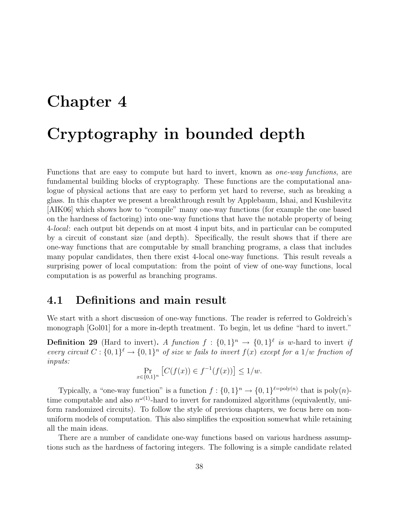# Chapter 4

# Cryptography in bounded depth

Functions that are easy to compute but hard to invert, known as *one-way functions*, are fundamental building blocks of cryptography. These functions are the computational analogue of physical actions that are easy to perform yet hard to reverse, such as breaking a glass. In this chapter we present a breakthrough result by Applebaum, Ishai, and Kushilevitz [AIK06] which shows how to "compile" many one-way functions (for example the one based on the hardness of factoring) into one-way functions that have the notable property of being 4-*local*: each output bit depends on at most 4 input bits, and in particular can be computed by a circuit of constant size (and depth). Specifically, the result shows that if there are one-way functions that are computable by small branching programs, a class that includes many popular candidates, then there exist 4-local one-way functions. This result reveals a surprising power of local computation: from the point of view of one-way functions, local computation is as powerful as branching programs.

### 4.1 Definitions and main result

We start with a short discussion of one-way functions. The reader is referred to Goldreich's monograph [Gol01] for a more in-depth treatment. To begin, let us define "hard to invert."

**Definition 29** (Hard to invert). A function  $f: \{0,1\}^n \to \{0,1\}^{\ell}$  is w-hard to invert *if every circuit*  $C: \{0,1\}^{\ell} \to \{0,1\}^n$  *of size* w *fails to invert*  $f(x)$  *except for a*  $1/w$  *fraction of inputs:*

$$
\Pr_{x \in \{0,1\}^n} \left[ C(f(x)) \in f^{-1}(f(x)) \right] \le 1/w.
$$

Typically, a "one-way function" is a function  $f: \{0,1\}^n \to \{0,1\}^{\ell=\text{poly}(n)}$  that is  $\text{poly}(n)$ time computable and also  $n^{\omega(1)}$ -hard to invert for randomized algorithms (equivalently, uniform randomized circuits). To follow the style of previous chapters, we focus here on nonuniform models of computation. This also simplifies the exposition somewhat while retaining all the main ideas.

There are a number of candidate one-way functions based on various hardness assumptions such as the hardness of factoring integers. The following is a simple candidate related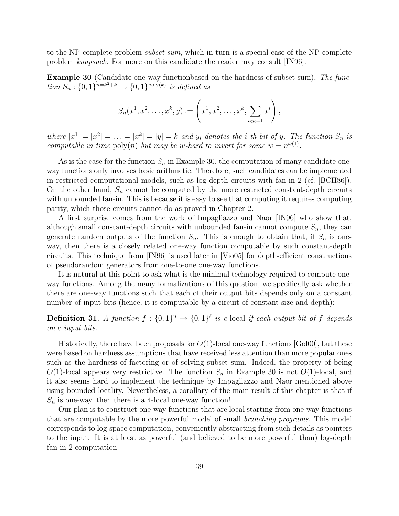to the NP-complete problem *subset sum*, which in turn is a special case of the NP-complete problem *knapsack*. For more on this candidate the reader may consult [IN96].

Example 30 (Candidate one-way functionbased on the hardness of subset sum). *The function*  $S_n$  :  $\{0,1\}^{n=k^2+k} \rightarrow \{0,1\}^{\text{poly}(k)}$  *is defined as* 

$$
S_n(x^1, x^2, \dots, x^k, y) := \left(x^1, x^2, \dots, x^k, \sum_{i:y_i=1} x^i\right),
$$

where  $|x^1| = |x^2| = \ldots = |x^k| = |y| = k$  and  $y_i$  denotes the *i*-th bit of y. The function  $S_n$  is *computable in time*  $\text{poly}(n)$  *but may be w-hard to invert for some*  $w = n^{\omega(1)}$ *.* 

As is the case for the function  $S_n$  in Example 30, the computation of many candidate oneway functions only involves basic arithmetic. Therefore, such candidates can be implemented in restricted computational models, such as log-depth circuits with fan-in 2 (cf. [BCH86]). On the other hand,  $S_n$  cannot be computed by the more restricted constant-depth circuits with unbounded fan-in. This is because it is easy to see that computing it requires computing parity, which those circuits cannot do as proved in Chapter 2.

A first surprise comes from the work of Impagliazzo and Naor [IN96] who show that, although small constant-depth circuits with unbounded fan-in cannot compute  $S_n$ , they can generate random outputs of the function  $S_n$ . This is enough to obtain that, if  $S_n$  is oneway, then there is a closely related one-way function computable by such constant-depth circuits. This technique from [IN96] is used later in [Vio05] for depth-efficient constructions of pseudorandom generators from one-to-one one-way functions.

It is natural at this point to ask what is the minimal technology required to compute oneway functions. Among the many formalizations of this question, we specifically ask whether there are one-way functions such that each of their output bits depends only on a constant number of input bits (hence, it is computable by a circuit of constant size and depth):

**Definition 31.** A function  $f: \{0,1\}^n \to \{0,1\}^{\ell}$  is c-local if each output bit of f depends *on* c *input bits.*

Historically, there have been proposals for  $O(1)$ -local one-way functions [Gol00], but these were based on hardness assumptions that have received less attention than more popular ones such as the hardness of factoring or of solving subset sum. Indeed, the property of being  $O(1)$ -local appears very restrictive. The function  $S_n$  in Example 30 is not  $O(1)$ -local, and it also seems hard to implement the technique by Impagliazzo and Naor mentioned above using bounded locality. Nevertheless, a corollary of the main result of this chapter is that if  $S_n$  is one-way, then there is a 4-local one-way function!

Our plan is to construct one-way functions that are local starting from one-way functions that are computable by the more powerful model of small *branching programs*. This model corresponds to log-space computation, conveniently abstracting from such details as pointers to the input. It is at least as powerful (and believed to be more powerful than) log-depth fan-in 2 computation.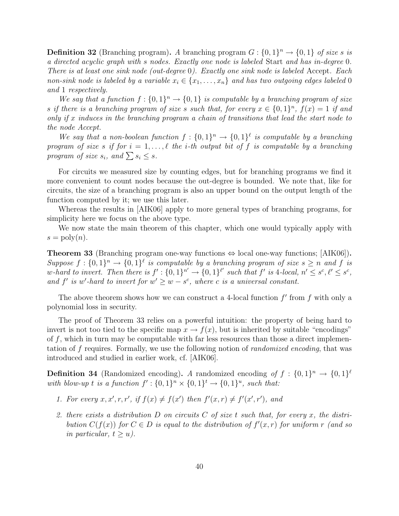**Definition 32** (Branching program). A branching program  $G: \{0, 1\}^n \to \{0, 1\}$  of size s is *a directed acyclic graph with* s *nodes. Exactly one node is labeled* Start *and has in-degree* 0*. There is at least one sink node (out-degree* 0*). Exactly one sink node is labeled* Accept*. Each non-sink node is labeled by a variable*  $x_i \in \{x_1, \ldots, x_n\}$  *and has two outgoing edges labeled* 0 *and* 1 *respectively.*

We say that a function  $f: \{0,1\}^n \to \{0,1\}$  is computable by a branching program of size *s if there is a branching program of size s such that, for every*  $x \in \{0,1\}^n$ ,  $f(x) = 1$  *if and only if* x *induces in the branching program a chain of transitions that lead the start node to the node Accept.*

We say that a non-boolean function  $f: \{0,1\}^n \to \{0,1\}^{\ell}$  is computable by a branching *program of size* s *if for*  $i = 1, \ldots, \ell$  *the i-th output bit of* f *is computable by a branching program of size*  $s_i$ *, and*  $\sum s_i \leq s$ *.* 

For circuits we measured size by counting edges, but for branching programs we find it more convenient to count nodes because the out-degree is bounded. We note that, like for circuits, the size of a branching program is also an upper bound on the output length of the function computed by it; we use this later.

Whereas the results in [AIK06] apply to more general types of branching programs, for simplicity here we focus on the above type.

We now state the main theorem of this chapter, which one would typically apply with  $s = \text{poly}(n)$ .

**Theorem 33** (Branching program one-way functions  $\Leftrightarrow$  local one-way functions; [AIK06]).  $Suppose \, f: \{0,1\}^n \to \{0,1\}^{\ell}$  *is computable by a branching program of size*  $s \geq n$  *and* f *is w*-hard to invert. Then there is  $f' : \{0,1\}^{n'} \to \{0,1\}^{\ell'}$  such that  $f'$  is 4*-local,*  $n' \leq s^c, \ell' \leq s^c$ , *and*  $f'$  *is* w'-hard to invert for  $w' \geq w - s^c$ , where c is a universal constant.

The above theorem shows how we can construct a 4-local function  $f'$  from  $f$  with only a polynomial loss in security.

The proof of Theorem 33 relies on a powerful intuition: the property of being hard to invert is not too tied to the specific map  $x \to f(x)$ , but is inherited by suitable "encodings" of  $f$ , which in turn may be computable with far less resources than those a direct implementation of f requires. Formally, we use the following notion of *randomized encoding*, that was introduced and studied in earlier work, cf. [AIK06].

**Definition 34** (Randomized encoding). *A* randomized encoding of  $f : \{0,1\}^n \to \{0,1\}^{\ell}$ *with blow-up t is a function*  $f' : \{0, 1\}^n \times \{0, 1\}^t \rightarrow \{0, 1\}^u$ , such that:

- 1. For every  $x, x', r, r', if f(x) \neq f(x')$  then  $f'(x,r) \neq f'(x',r')$ , and
- *2. there exists a distribution* D *on circuits* C *of size* t *such that, for every* x*, the distribution*  $C(f(x))$  *for*  $C \in D$  *is equal to the distribution of*  $f'(x,r)$  *for uniform* r *(and so in particular,*  $t \geq u$ *).*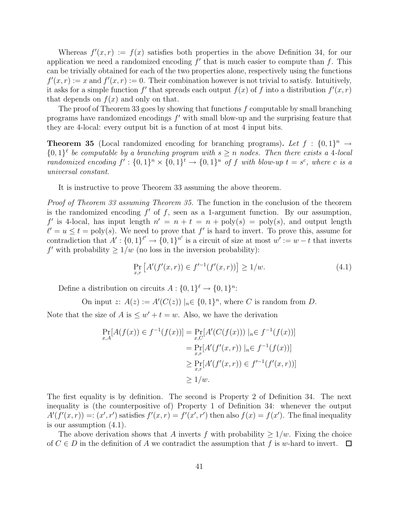Whereas  $f'(x,r) := f(x)$  satisfies both properties in the above Definition 34, for our application we need a randomized encoding  $f'$  that is much easier to compute than  $f$ . This can be trivially obtained for each of the two properties alone, respectively using the functions  $f'(x,r) := x$  and  $f'(x,r) := 0$ . Their combination however is not trivial to satisfy. Intuitively, it asks for a simple function  $f'$  that spreads each output  $f(x)$  of f into a distribution  $f'(x,r)$ that depends on  $f(x)$  and only on that.

The proof of Theorem 33 goes by showing that functions  $f$  computable by small branching programs have randomized encodings f ′ with small blow-up and the surprising feature that they are 4-local: every output bit is a function of at most 4 input bits.

**Theorem 35** (Local randomized encoding for branching programs). Let  $f : \{0,1\}^n \to$  ${0,1}^{\ell}$  be computable by a branching program with  $s \geq n$  nodes. Then there exists a 4*-local randomized encoding*  $f' : \{0,1\}^n \times \{0,1\}^t \rightarrow \{0,1\}^u$  of f with blow-up  $t = s^c$ , where c is a *universal constant.*

It is instructive to prove Theorem 33 assuming the above theorem.

*Proof of Theorem 33 assuming Theorem 35.* The function in the conclusion of the theorem is the randomized encoding  $f'$  of  $f$ , seen as a 1-argument function. By our assumption,  $f'$  is 4-local, has input length  $n' = n + t = n + \text{poly}(s) = \text{poly}(s)$ , and output length  $\ell' = u \leq t = \text{poly}(s)$ . We need to prove that f' is hard to invert. To prove this, assume for contradiction that  $A' : \{0,1\}^{\ell'} \to \{0,1\}^{n'}$  is a circuit of size at most  $w' := w - t$  that inverts  $f'$  with probability  $\geq 1/w$  (no loss in the inversion probability):

$$
\Pr_{x,r} \left[ A'(f'(x,r)) \in f'^{-1}(f'(x,r)) \right] \ge 1/w. \tag{4.1}
$$

Define a distribution on circuits  $A: \{0,1\}^{\ell} \to \{0,1\}^{n}$ :

On input  $z: A(z) := A'(C(z)) |_{n} \in \{0,1\}^{n}$ , where C is random from D.

Note that the size of  $A$  is  $\leq w' + t = w$ . Also, we have the derivation

$$
\Pr_{x,A}[A(f(x)) \in f^{-1}(f(x))] = \Pr_{x,C}[A'(C(f(x))) \mid_n \in f^{-1}(f(x))]
$$
  
\n
$$
= \Pr_{x,r}[A'(f'(x,r)) \mid_n \in f^{-1}(f(x))]
$$
  
\n
$$
\geq \Pr_{x,r}[A'(f'(x,r)) \in f'^{-1}(f'(x,r))]
$$
  
\n
$$
\geq 1/w.
$$

The first equality is by definition. The second is Property 2 of Definition 34. The next inequality is (the counterpositive of) Property 1 of Definition 34: whenever the output  $A'(f'(x,r)) =: (x',r')$  satisfies  $f'(x,r) = f'(x',r')$  then also  $f(x) = f(x')$ . The final inequality is our assumption (4.1).

The above derivation shows that A inverts f with probability  $> 1/w$ . Fixing the choice of  $C \in D$  in the definition of A we contradict the assumption that f is w-hard to invert.  $\Box$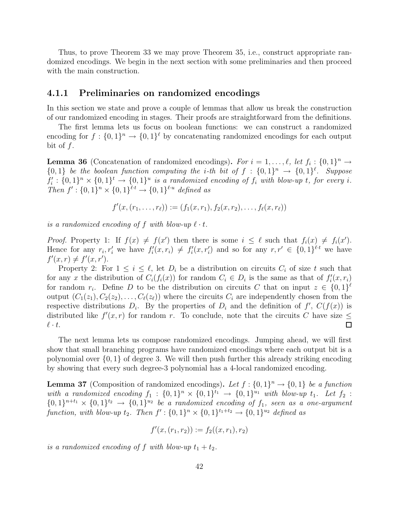Thus, to prove Theorem 33 we may prove Theorem 35, i.e., construct appropriate randomized encodings. We begin in the next section with some preliminaries and then proceed with the main construction.

#### 4.1.1 Preliminaries on randomized encodings

In this section we state and prove a couple of lemmas that allow us break the construction of our randomized encoding in stages. Their proofs are straightforward from the definitions.

The first lemma lets us focus on boolean functions: we can construct a randomized encoding for  $f: \{0,1\}^n \to \{0,1\}^{\ell}$  by concatenating randomized encodings for each output bit of  $f$ .

**Lemma 36** (Concatenation of randomized encodings). For  $i = 1, ..., \ell$ , let  $f_i : \{0, 1\}^n \to$  ${0, 1}$  *be the boolean function computing the <i>i*-th *bit of*  $f : \{0, 1\}^n \rightarrow \{0, 1\}^{\ell}$ *. Suppose*  $f'_i : \{0,1\}^n \times \{0,1\}^t \rightarrow \{0,1\}^u$  is a randomized encoding of  $f_i$  with blow-up t, for every i. *Then*  $f' : \{0,1\}^n \times \{0,1\}^{\ell \cdot t} \rightarrow \{0,1\}^{\ell \cdot u}$  *defined as* 

$$
f'(x,(r_1,\ldots,r_\ell)):=(f_1(x,r_1),f_2(x,r_2),\ldots,f_\ell(x,r_\ell))
$$

*is a randomized encoding of* f *with blow-up*  $\ell \cdot t$ .

*Proof.* Property 1: If  $f(x) \neq f(x')$  then there is some  $i \leq \ell$  such that  $f_i(x) \neq f_i(x')$ . Hence for any  $r_i, r'_i$  we have  $f'_i(x, r_i) \neq f'_i(x, r'_i)$  and so for any  $r, r' \in \{0, 1\}^{\ell \cdot t}$  we have  $f'(x,r) \neq f'(x,r').$ 

Property 2: For  $1 \leq i \leq \ell$ , let  $D_i$  be a distribution on circuits  $C_i$  of size t such that for any x the distribution of  $C_i(f_i(x))$  for random  $C_i \in D_i$  is the same as that of  $f'_i(x, r_i)$ for random  $r_i$ . Define D to be the distribution on circuits C that on input  $z \in \{0,1\}^{\ell}$ output  $(C_1(z_1), C_2(z_2), \ldots, C_{\ell}(z_{\ell}))$  where the circuits  $C_i$  are independently chosen from the respective distributions  $D_i$ . By the properties of  $D_i$  and the definition of  $f'$ ,  $C(f(x))$  is distributed like  $f'(x,r)$  for random r. To conclude, note that the circuits C have size  $\leq$  $\ell \cdot t$ .

The next lemma lets us compose randomized encodings. Jumping ahead, we will first show that small branching programs have randomized encodings where each output bit is a polynomial over  $\{0,1\}$  of degree 3. We will then push further this already striking encoding by showing that every such degree-3 polynomial has a 4-local randomized encoding.

**Lemma 37** (Composition of randomized encodings). Let  $f: \{0, 1\}^n \to \{0, 1\}$  be a function with a randomized encoding  $f_1: \{0,1\}^n \times \{0,1\}^{t_1} \rightarrow \{0,1\}^{u_1}$  with blow-up  $t_1$ . Let  $f_2$ :  $\{0,1\}^{n+t_1} \times \{0,1\}^{t_2} \rightarrow \{0,1\}^{u_2}$  *be a randomized encoding of*  $f_1$ *, seen as a one-argument function, with blow-up*  $t_2$ *. Then*  $f' : \{0, 1\}^n \times \{0, 1\}^{t_1 + t_2} \rightarrow \{0, 1\}^{u_2}$  *defined as* 

$$
f'(x,(r_1,r_2)) := f_2((x,r_1),r_2)
$$

*is a randomized encoding of* f *with blow-up*  $t_1 + t_2$ .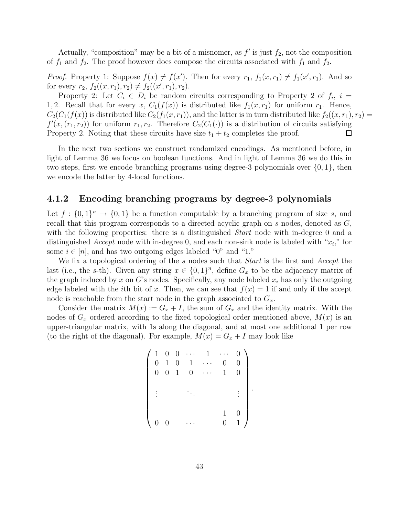Actually, "composition" may be a bit of a misnomer, as  $f'$  is just  $f_2$ , not the composition of  $f_1$  and  $f_2$ . The proof however does compose the circuits associated with  $f_1$  and  $f_2$ .

*Proof.* Property 1: Suppose  $f(x) \neq f(x')$ . Then for every  $r_1$ ,  $f_1(x,r_1) \neq f_1(x',r_1)$ . And so for every  $r_2$ ,  $f_2((x, r_1), r_2) \neq f_2((x', r_1), r_2)$ .

Property 2: Let  $C_i \in D_i$  be random circuits corresponding to Property 2 of  $f_i$ ,  $i =$ 1, 2. Recall that for every x,  $C_1(f(x))$  is distributed like  $f_1(x, r_1)$  for uniform  $r_1$ . Hence,  $C_2(C_1(f(x))$  is distributed like  $C_2(f_1(x, r_1))$ , and the latter is in turn distributed like  $f_2((x, r_1), r_2)$  =  $f'(x,(r_1,r_2))$  for uniform  $r_1,r_2$ . Therefore  $C_2(C_1(\cdot))$  is a distribution of circuits satisfying Property 2. Noting that these circuits have size  $t_1 + t_2$  completes the proof.

In the next two sections we construct randomized encodings. As mentioned before, in light of Lemma 36 we focus on boolean functions. And in light of Lemma 36 we do this in two steps, first we encode branching programs using degree-3 polynomials over  $\{0, 1\}$ , then we encode the latter by 4-local functions.

#### 4.1.2 Encoding branching programs by degree-3 polynomials

Let  $f: \{0,1\}^n \to \{0,1\}$  be a function computable by a branching program of size s, and recall that this program corresponds to a directed acyclic graph on s nodes, denoted as G, with the following properties: there is a distinguished *Start* node with in-degree 0 and a distinguished  $Accept$  node with in-degree 0, and each non-sink node is labeled with " $x_i$ ," for some  $i \in [n]$ , and has two outgoing edges labeled "0" and "1."

We fix a topological ordering of the s nodes such that *Start* is the first and *Accept* the last (i.e., the s-th). Given any string  $x \in \{0,1\}^n$ , define  $G_x$  to be the adjacency matrix of the graph induced by x on G's nodes. Specifically, any node labeled  $x_i$  has only the outgoing edge labeled with the *i*th bit of x. Then, we can see that  $f(x) = 1$  if and only if the accept node is reachable from the start node in the graph associated to  $G_x$ .

Consider the matrix  $M(x) := G_x + I$ , the sum of  $G_x$  and the identity matrix. With the nodes of  $G_x$  ordered according to the fixed topological order mentioned above,  $M(x)$  is an upper-triangular matrix, with 1s along the diagonal, and at most one additional 1 per row (to the right of the diagonal). For example,  $M(x) = G_x + I$  may look like

$$
\begin{pmatrix} 1 & 0 & 0 & \cdots & 1 & \cdots & 0 \\ 0 & 1 & 0 & 1 & \cdots & 0 & 0 \\ 0 & 0 & 1 & 0 & \cdots & 1 & 0 \\ \vdots & & & & & & \vdots \\ 0 & & & & & & 1 & 0 \\ 0 & 0 & & \cdots & & & 0 & 1 \end{pmatrix}.
$$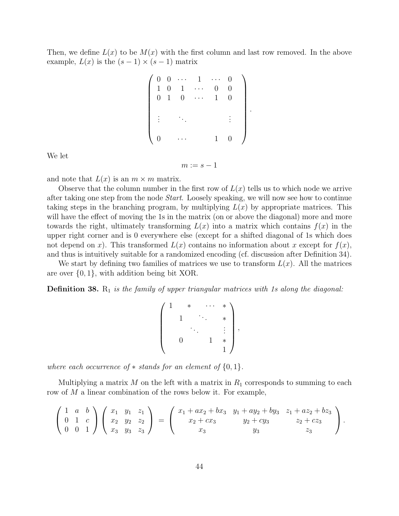Then, we define  $L(x)$  to be  $M(x)$  with the first column and last row removed. In the above example,  $L(x)$  is the  $(s-1) \times (s-1)$  matrix

| $\boldsymbol{0}$<br>$1\,$<br>$\overline{0}$ | $\overline{0}$<br>$\overline{0}$<br>$\mathbf{1}$ | $\cdot$ .<br>$\mathbf{1}$<br>$\boldsymbol{0}$ | $\overline{1}$ | 0<br>$\mathbf 1$ | 0<br>0 |  |
|---------------------------------------------|--------------------------------------------------|-----------------------------------------------|----------------|------------------|--------|--|
|                                             |                                                  |                                               |                |                  |        |  |
| 0                                           |                                                  |                                               |                | $\mathbf{1}$     | 0      |  |

.

We let

 $m := s - 1$ 

and note that  $L(x)$  is an  $m \times m$  matrix.

Observe that the column number in the first row of  $L(x)$  tells us to which node we arrive after taking one step from the node *Start*. Loosely speaking, we will now see how to continue taking steps in the branching program, by multiplying  $L(x)$  by appropriate matrices. This will have the effect of moving the 1s in the matrix (on or above the diagonal) more and more towards the right, ultimately transforming  $L(x)$  into a matrix which contains  $f(x)$  in the upper right corner and is 0 everywhere else (except for a shifted diagonal of 1s which does not depend on x). This transformed  $L(x)$  contains no information about x except for  $f(x)$ , and thus is intuitively suitable for a randomized encoding (cf. discussion after Definition 34).

We start by defining two families of matrices we use to transform  $L(x)$ . All the matrices are over  $\{0, 1\}$ , with addition being bit XOR.

Definition 38.  $R_1$  *is the family of upper triangular matrices with 1s along the diagonal:* 

$$
\begin{pmatrix} 1 & * & \cdots & * \\ & 1 & \ddots & * \\ & & \ddots & & \vdots \\ & & & 1 & * \\ 0 & & & 1 & * \\ & & & & 1 \end{pmatrix},
$$

*where each occurrence of*  $*$  *stands for an element of*  $\{0, 1\}$ *.* 

Multiplying a matrix  $M$  on the left with a matrix in  $R_1$  corresponds to summing to each row of M a linear combination of the rows below it. For example,

$$
\begin{pmatrix} 1 & a & b \ 0 & 1 & c \ 0 & 0 & 1 \end{pmatrix} \begin{pmatrix} x_1 & y_1 & z_1 \ x_2 & y_2 & z_2 \ x_3 & y_3 & z_3 \end{pmatrix} = \begin{pmatrix} x_1 + ax_2 + bx_3 & y_1 + ay_2 + by_3 & z_1 + az_2 + bz_3 \ x_2 + cx_3 & y_2 + cy_3 & z_2 + cz_3 \ x_3 & y_3 & z_3 & z_3 \end{pmatrix}.
$$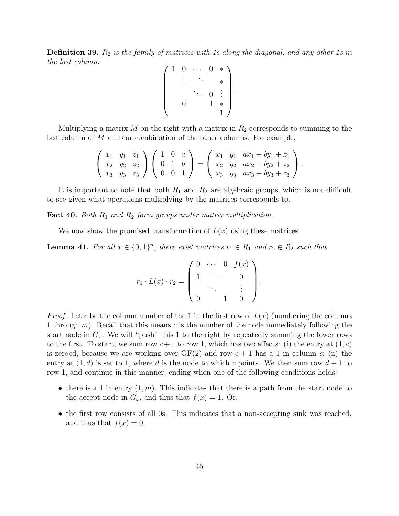Definition 39.  $R_2$  *is the family of matrices with 1s along the diagonal, and any other 1s in the last column:*

$$
\left(\begin{array}{ccccc}\n1 & 0 & \cdots & 0 & * \\
& 1 & & \ddots & * \\
& & \ddots & 0 & \vdots \\
& & & 1 & * \\
& & & & 1\n\end{array}\right).
$$

Multiplying a matrix  $M$  on the right with a matrix in  $R_2$  corresponds to summing to the last column of  $M$  a linear combination of the other columns. For example,

$$
\begin{pmatrix} x_1 & y_1 & z_1 \ x_2 & y_2 & z_2 \ x_3 & y_3 & z_3 \end{pmatrix} \begin{pmatrix} 1 & 0 & a \ 0 & 1 & b \ 0 & 0 & 1 \end{pmatrix} = \begin{pmatrix} x_1 & y_1 & ax_1 + by_1 + z_1 \ x_2 & y_2 & ax_2 + by_2 + z_2 \ x_3 & y_3 & ax_3 + by_3 + z_3 \end{pmatrix}.
$$

It is important to note that both  $R_1$  and  $R_2$  are algebraic groups, which is not difficult to see given what operations multiplying by the matrices corresponds to.

Fact 40. *Both*  $R_1$  *and*  $R_2$  *form groups under matrix multiplication.* 

We now show the promised transformation of  $L(x)$  using these matrices.

**Lemma 41.** For all  $x \in \{0,1\}^n$ , there exist matrices  $r_1 \in R_1$  and  $r_2 \in R_2$  such that

$$
r_1 \cdot L(x) \cdot r_2 = \begin{pmatrix} 0 & \cdots & 0 & f(x) \\ 1 & & \ddots & & 0 \\ & & \ddots & & \vdots \\ 0 & & 1 & 0 \end{pmatrix}.
$$

*Proof.* Let c be the column number of the 1 in the first row of  $L(x)$  (numbering the columns 1 through  $m$ ). Recall that this means c is the number of the node immediately following the start node in  $G_x$ . We will "push" this 1 to the right by repeatedly summing the lower rows to the first. To start, we sum row  $c+1$  to row 1, which has two effects: (i) the entry at  $(1, c)$ is zeroed, because we are working over  $GF(2)$  and row  $c + 1$  has a 1 in column c; (ii) the entry at  $(1, d)$  is set to 1, where d is the node to which c points. We then sum row  $d+1$  to row 1, and continue in this manner, ending when one of the following conditions holds:

- there is a 1 in entry  $(1, m)$ . This indicates that there is a path from the start node to the accept node in  $G_x$ , and thus that  $f(x) = 1$ . Or,
- the first row consists of all 0s. This indicates that a non-accepting sink was reached, and thus that  $f(x) = 0$ .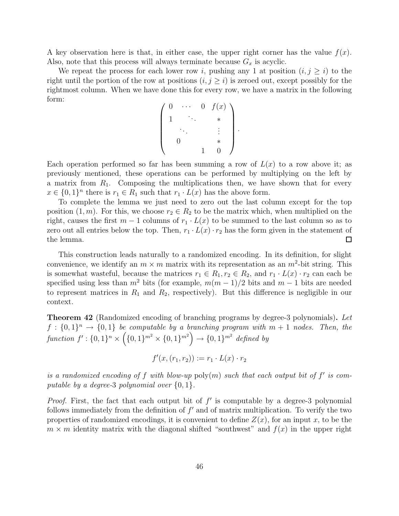A key observation here is that, in either case, the upper right corner has the value  $f(x)$ . Also, note that this process will always terminate because  $G_x$  is acyclic.

We repeat the process for each lower row i, pushing any 1 at position  $(i, j \geq i)$  to the right until the portion of the row at positions  $(i, j \geq i)$  is zeroed out, except possibly for the rightmost column. When we have done this for every row, we have a matrix in the following form:

| $\overline{0}$ | 0 | f(x) |  |
|----------------|---|------|--|
|                |   |      |  |
|                |   |      |  |
|                |   |      |  |
|                |   |      |  |

Each operation performed so far has been summing a row of  $L(x)$  to a row above it; as previously mentioned, these operations can be performed by multiplying on the left by a matrix from  $R_1$ . Composing the multiplications then, we have shown that for every  $x \in \{0,1\}^n$  there is  $r_1 \in R_1$  such that  $r_1 \cdot L(x)$  has the above form.

To complete the lemma we just need to zero out the last column except for the top position  $(1, m)$ . For this, we choose  $r_2 \in R_2$  to be the matrix which, when multiplied on the right, causes the first  $m-1$  columns of  $r_1 \cdot L(x)$  to be summed to the last column so as to zero out all entries below the top. Then,  $r_1 \cdot L(x) \cdot r_2$  has the form given in the statement of the lemma. the lemma.

This construction leads naturally to a randomized encoding. In its definition, for slight convenience, we identify an  $m \times m$  matrix with its representation as an  $m^2$ -bit string. This is somewhat wasteful, because the matrices  $r_1 \in R_1, r_2 \in R_2$ , and  $r_1 \cdot L(x) \cdot r_2$  can each be specified using less than  $m^2$  bits (for example,  $m(m-1)/2$  bits and  $m-1$  bits are needed to represent matrices in  $R_1$  and  $R_2$ , respectively). But this difference is negligible in our context.

Theorem 42 (Randomized encoding of branching programs by degree-3 polynomials). *Let*  $f: \{0,1\}^n \to \{0,1\}$  be computable by a branching program with  $m + 1$  nodes. Then, the  $function f' : \{0,1\}^n \times (\{0,1\}^{m^2} \times \{0,1\}^{m^2}) \rightarrow \{0,1\}^{m^2}$  defined by

$$
f'(x,(r_1,r_2)) := r_1 \cdot L(x) \cdot r_2
$$

is a randomized encoding of f with blow-up  $\text{poly}(m)$  such that each output bit of f' is com*putable by a degree-*3 *polynomial over* {0, 1}*.*

*Proof.* First, the fact that each output bit of  $f'$  is computable by a degree-3 polynomial follows immediately from the definition of  $f'$  and of matrix multiplication. To verify the two properties of randomized encodings, it is convenient to define  $Z(x)$ , for an input x, to be the  $m \times m$  identity matrix with the diagonal shifted "southwest" and  $f(x)$  in the upper right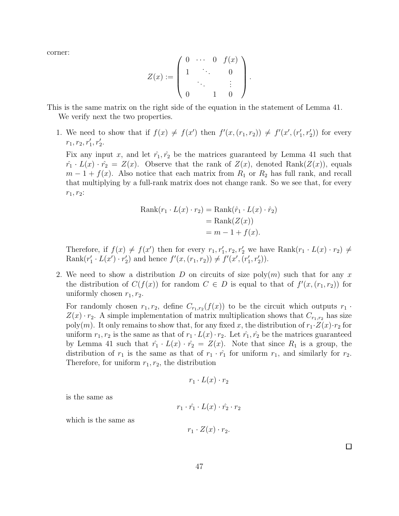corner:

$$
Z(x) := \left( \begin{array}{cccc} 0 & \cdots & 0 & f(x) \\ 1 & \ddots & & 0 \\ & \ddots & & \vdots \\ 0 & & 1 & 0 \end{array} \right).
$$

This is the same matrix on the right side of the equation in the statement of Lemma 41. We verify next the two properties.

1. We need to show that if  $f(x) \neq f(x')$  then  $f'(x,(r_1,r_2)) \neq f'(x',(r'_1,r'_2))$  for every  $r_1, r_2, r'_1, r'_2.$ 

Fix any input x, and let  $\hat{r}_1, \hat{r}_2$  be the matrices guaranteed by Lemma 41 such that  $\hat{r}_1 \cdot L(x) \cdot \hat{r}_2 = Z(x)$ . Observe that the rank of  $Z(x)$ , denoted Rank $(Z(x))$ , equals  $m-1+f(x)$ . Also notice that each matrix from  $R_1$  or  $R_2$  has full rank, and recall that multiplying by a full-rank matrix does not change rank. So we see that, for every  $r_1, r_2$ :

$$
Rank(r_1 \cdot L(x) \cdot r_2) = Rank(\hat{r}_1 \cdot L(x) \cdot \hat{r}_2)
$$
  
= Rank(Z(x))  
= m - 1 + f(x).

Therefore, if  $f(x) \neq f(x')$  then for every  $r_1, r'_1, r_2, r'_2$  we have  $Rank(r_1 \cdot L(x) \cdot r_2) \neq$ Rank $(r'_1 \cdot L(x') \cdot r'_2)$  and hence  $f'(x,(r_1,r_2)) \neq f'(x',(r'_1,r'_2)).$ 

2. We need to show a distribution D on circuits of size  $poly(m)$  such that for any x the distribution of  $C(f(x))$  for random  $C \in D$  is equal to that of  $f'(x,(r_1,r_2))$  for uniformly chosen  $r_1, r_2$ .

For randomly chosen  $r_1, r_2$ , define  $C_{r_1,r_2}(f(x))$  to be the circuit which outputs  $r_1 \cdot$  $Z(x) \cdot r_2$ . A simple implementation of matrix multiplication shows that  $C_{r_1,r_2}$  has size poly(*m*). It only remains to show that, for any fixed x, the distribution of  $r_1 \cdot Z(x) \cdot r_2$  for uniform  $r_1, r_2$  is the same as that of  $r_1 \cdot L(x) \cdot r_2$ . Let  $\hat{r_1}, \hat{r_2}$  be the matrices guaranteed by Lemma 41 such that  $\hat{r}_1 \cdot L(x) \cdot \hat{r}_2 = Z(x)$ . Note that since  $R_1$  is a group, the distribution of  $r_1$  is the same as that of  $r_1 \cdot \hat{r_1}$  for uniform  $r_1$ , and similarly for  $r_2$ . Therefore, for uniform  $r_1, r_2$ , the distribution

$$
r_1 \cdot L(x) \cdot r_2
$$

is the same as

$$
r_1 \cdot \hat{r_1} \cdot L(x) \cdot \hat{r_2} \cdot r_2
$$

which is the same as

$$
r_1 \cdot Z(x) \cdot r_2.
$$

 $\Box$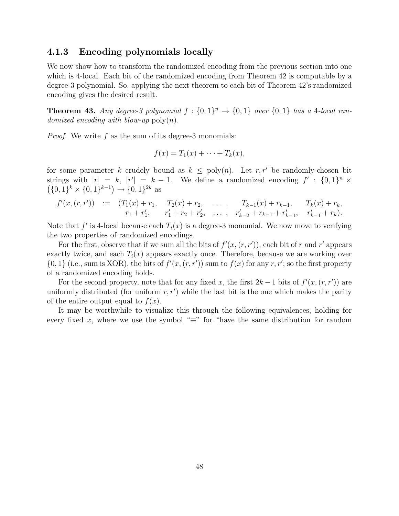#### 4.1.3 Encoding polynomials locally

We now show how to transform the randomized encoding from the previous section into one which is 4-local. Each bit of the randomized encoding from Theorem 42 is computable by a degree-3 polynomial. So, applying the next theorem to each bit of Theorem 42's randomized encoding gives the desired result.

**Theorem 43.** Any degree-3 polynomial  $f : \{0,1\}^n \rightarrow \{0,1\}$  over  $\{0,1\}$  has a 4-local ran*domized encoding with blow-up* poly(n)*.*

*Proof.* We write f as the sum of its degree-3 monomials:

$$
f(x) = T_1(x) + \cdots + T_k(x),
$$

for some parameter k crudely bound as  $k \leq \text{poly}(n)$ . Let  $r, r'$  be randomly-chosen bit strings with  $|r| = k$ ,  $|r'| = k - 1$ . We define a randomized encoding  $f' : \{0,1\}^n \times$  $(\{0,1\}^k \times \{0,1\}^{k-1}) \rightarrow \{0,1\}^{2k}$  as

$$
f'(x,(r,r')) := (T_1(x) + r_1, T_2(x) + r_2, \dots, T_{k-1}(x) + r_{k-1}, T_k(x) + r_k, \n r_1 + r'_1, r'_1 + r_2 + r'_2, \dots, r'_{k-2} + r_{k-1} + r'_{k-1}, r'_{k-1} + r_k).
$$

Note that  $f'$  is 4-local because each  $T_i(x)$  is a degree-3 monomial. We now move to verifying the two properties of randomized encodings.

For the first, observe that if we sum all the bits of  $f'(x,(r,r'))$ , each bit of r and r' appears exactly twice, and each  $T_i(x)$  appears exactly once. Therefore, because we are working over  $\{0, 1\}$  (i.e., sum is XOR), the bits of  $f'(x, (r, r'))$  sum to  $f(x)$  for any  $r, r'$ ; so the first property of a randomized encoding holds.

For the second property, note that for any fixed x, the first  $2k - 1$  bits of  $f'(x, (r, r'))$  are uniformly distributed (for uniform  $r, r'$ ) while the last bit is the one which makes the parity of the entire output equal to  $f(x)$ .

It may be worthwhile to visualize this through the following equivalences, holding for every fixed x, where we use the symbol " $\equiv$ " for "have the same distribution for random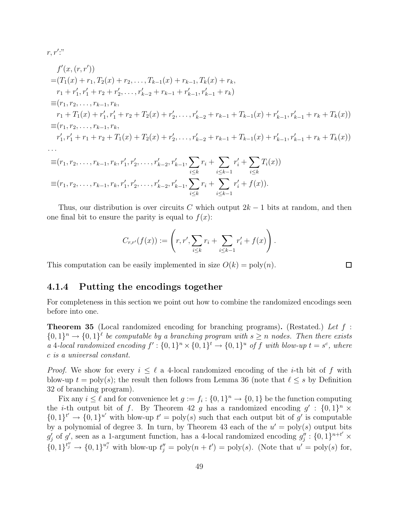$r,r^{\prime}:$ "

$$
f'(x,(r,r'))
$$
  
\n
$$
= (T_1(x) + r_1, T_2(x) + r_2, \dots, T_{k-1}(x) + r_{k-1}, T_k(x) + r_k,
$$
  
\n
$$
r_1 + r'_1, r'_1 + r_2 + r'_2, \dots, r'_{k-2} + r_{k-1} + r'_{k-1}, r'_{k-1} + r_k)
$$
  
\n
$$
\equiv (r_1, r_2, \dots, r_{k-1}, r_k,
$$
  
\n
$$
r_1 + T_1(x) + r'_1, r'_1 + r_2 + T_2(x) + r'_2, \dots, r'_{k-2} + r_{k-1} + T_{k-1}(x) + r'_{k-1}, r'_{k-1} + r_k + T_k(x))
$$
  
\n
$$
\equiv (r_1, r_2, \dots, r_{k-1}, r_k,
$$
  
\n
$$
r'_1, r'_1 + r_1 + r_2 + T_1(x) + T_2(x) + r'_2, \dots, r'_{k-2} + r_{k-1} + T_{k-1}(x) + r'_{k-1}, r'_{k-1} + r_k + T_k(x))
$$
  
\n...\n
$$
\equiv (r_1, r_2, \dots, r_{k-1}, r_k, r'_1, r'_2, \dots, r'_{k-2}, r'_{k-1}, \sum_{i \le k} r_i + \sum_{i \le k-1} r'_i + \sum_{i \le k} T_i(x))
$$
  
\n
$$
\equiv (r_1, r_2, \dots, r_{k-1}, r_k, r'_1, r'_2, \dots, r'_{k-2}, r'_{k-1}, \sum_{i \le k} r_i + \sum_{i \le k-1} r'_i + f(x)).
$$

Thus, our distribution is over circuits C which output  $2k-1$  bits at random, and then one final bit to ensure the parity is equal to  $f(x)$ :

$$
C_{r,r'}(f(x)) := \left(r, r', \sum_{i \leq k} r_i + \sum_{i \leq k-1} r'_i + f(x)\right).
$$

This computation can be easily implemented in size  $O(k) = \text{poly}(n)$ .

#### 4.1.4 Putting the encodings together

For completeness in this section we point out how to combine the randomized encodings seen before into one.

Theorem 35 (Local randomized encoding for branching programs). (Restated.) *Let* f :  $\{0,1\}^n \to \{0,1\}^{\ell}$  be computable by a branching program with  $s \geq n$  nodes. Then there exists *a* 4*-local randomized encoding*  $f' : \{0, 1\}^n \times \{0, 1\}^t \rightarrow \{0, 1\}^u$  *of*  $f$  *with blow-up*  $t = s^c$ *, where* c *is a universal constant.*

*Proof.* We show for every  $i \leq \ell$  a 4-local randomized encoding of the *i*-th bit of f with blow-up  $t = \text{poly}(s)$ ; the result then follows from Lemma 36 (note that  $\ell \leq s$  by Definition 32 of branching program).

Fix any  $i \leq \ell$  and for convenience let  $g := f_i : \{0,1\}^n \to \{0,1\}$  be the function computing the *i*-th output bit of f. By Theorem 42 g has a randomized encoding  $g' : \{0,1\}^n \times$  $\{0,1\}^{t'} \to \{0,1\}^{u'}$  with blow-up  $t' = \text{poly}(s)$  such that each output bit of g' is computable by a polynomial of degree 3. In turn, by Theorem 43 each of the  $u' = \text{poly}(s)$  output bits  $g'_j$  of  $g'_j$ , seen as a 1-argument function, has a 4-local randomized encoding  $g''_j: \{0,1\}^{n+t'} \times$  $\{0,1\}^{t''_j} \to \{0,1\}^{u''_j}$  with blow-up  $t''_j = \text{poly}(n+t') = \text{poly}(s)$ . (Note that  $u' = \text{poly}(s)$  for,

 $\Box$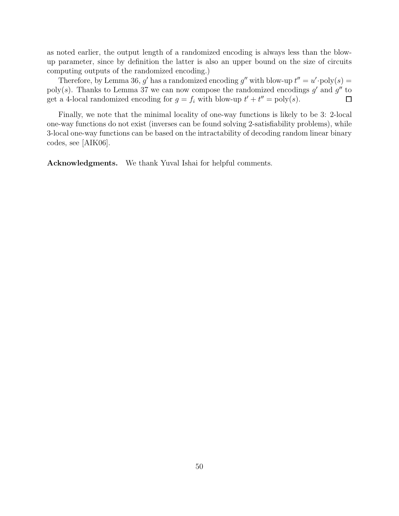as noted earlier, the output length of a randomized encoding is always less than the blowup parameter, since by definition the latter is also an upper bound on the size of circuits computing outputs of the randomized encoding.)

Therefore, by Lemma 36, g' has a randomized encoding g'' with blow-up  $t'' = u' \text{ poly}(s) =$ poly(s). Thanks to Lemma 37 we can now compose the randomized encodings  $g'$  and  $g''$  to get a 4-local randomized encoding for  $g = f_i$  with blow-up  $t' + t'' = \text{poly}(s)$ .  $\Box$ 

Finally, we note that the minimal locality of one-way functions is likely to be 3: 2-local one-way functions do not exist (inverses can be found solving 2-satisfiability problems), while 3-local one-way functions can be based on the intractability of decoding random linear binary codes, see [AIK06].

Acknowledgments. We thank Yuval Ishai for helpful comments.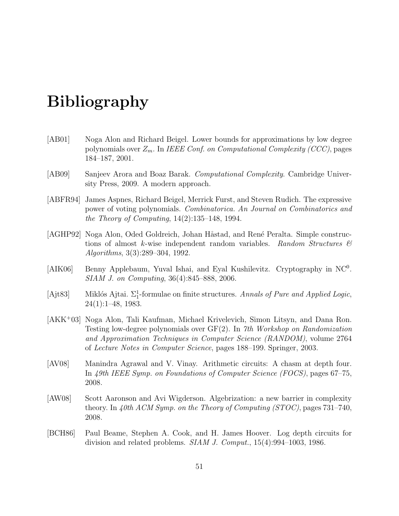# Bibliography

- [AB01] Noga Alon and Richard Beigel. Lower bounds for approximations by low degree polynomials over Zm. In *IEEE Conf. on Computational Complexity (CCC)*, pages 184–187, 2001.
- [AB09] Sanjeev Arora and Boaz Barak. *Computational Complexity*. Cambridge University Press, 2009. A modern approach.
- [ABFR94] James Aspnes, Richard Beigel, Merrick Furst, and Steven Rudich. The expressive power of voting polynomials. *Combinatorica. An Journal on Combinatorics and the Theory of Computing*, 14(2):135–148, 1994.
- [AGHP92] Noga Alon, Oded Goldreich, Johan Håstad, and René Peralta. Simple constructions of almost k-wise independent random variables. *Random Structures & Algorithms*, 3(3):289–304, 1992.
- [AIK06] Benny Applebaum, Yuval Ishai, and Eyal Kushilevitz. Cryptography in NC<sup>0</sup>. *SIAM J. on Computing*, 36(4):845–888, 2006.
- [Ajt83] Miklós Ajtai. Σ<sup>1</sup><sub>1</sub>-formulae on finite structures. *Annals of Pure and Applied Logic*, 24(1):1–48, 1983.
- [AKK<sup>+</sup>03] Noga Alon, Tali Kaufman, Michael Krivelevich, Simon Litsyn, and Dana Ron. Testing low-degree polynomials over GF(2). In *7th Workshop on Randomization and Approximation Techniques in Computer Science (RANDOM)*, volume 2764 of *Lecture Notes in Computer Science*, pages 188–199. Springer, 2003.
- [AV08] Manindra Agrawal and V. Vinay. Arithmetic circuits: A chasm at depth four. In *49th IEEE Symp. on Foundations of Computer Science (FOCS)*, pages 67–75, 2008.
- [AW08] Scott Aaronson and Avi Wigderson. Algebrization: a new barrier in complexity theory. In *40th ACM Symp. on the Theory of Computing (STOC)*, pages 731–740, 2008.
- [BCH86] Paul Beame, Stephen A. Cook, and H. James Hoover. Log depth circuits for division and related problems. *SIAM J. Comput.*, 15(4):994–1003, 1986.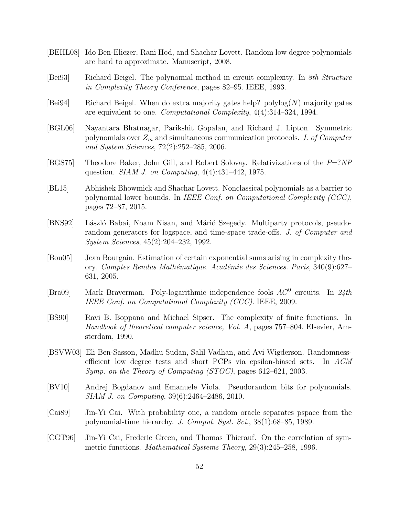- [BEHL08] Ido Ben-Eliezer, Rani Hod, and Shachar Lovett. Random low degree polynomials are hard to approximate. Manuscript, 2008.
- [Bei93] Richard Beigel. The polynomial method in circuit complexity. In *8th Structure in Complexity Theory Conference*, pages 82–95. IEEE, 1993.
- $[Bei94]$  Richard Beigel. When do extra majority gates help? polylog $(N)$  majority gates are equivalent to one. *Computational Complexity*, 4(4):314–324, 1994.
- [BGL06] Nayantara Bhatnagar, Parikshit Gopalan, and Richard J. Lipton. Symmetric polynomials over  $Z_m$  and simultaneous communication protocols. *J. of Computer and System Sciences*, 72(2):252–285, 2006.
- [BGS75] Theodore Baker, John Gill, and Robert Solovay. Relativizations of the *P*=?*NP* question. *SIAM J. on Computing*, 4(4):431–442, 1975.
- [BL15] Abhishek Bhowmick and Shachar Lovett. Nonclassical polynomials as a barrier to polynomial lower bounds. In *IEEE Conf. on Computational Complexity (CCC)*, pages 72–87, 2015.
- [BNS92] László Babai, Noam Nisan, and Márió Szegedy. Multiparty protocols, pseudorandom generators for logspace, and time-space trade-offs. *J. of Computer and System Sciences*, 45(2):204–232, 1992.
- [Bou05] Jean Bourgain. Estimation of certain exponential sums arising in complexity theory. *Comptes Rendus Math´ematique. Acad´emie des Sciences. Paris*, 340(9):627– 631, 2005.
- [Bra09] Mark Braverman. Poly-logarithmic independence fools AC<sup>0</sup> circuits. In *24th IEEE Conf. on Computational Complexity (CCC)*. IEEE, 2009.
- [BS90] Ravi B. Boppana and Michael Sipser. The complexity of finite functions. In *Handbook of theoretical computer science, Vol. A*, pages 757–804. Elsevier, Amsterdam, 1990.
- [BSVW03] Eli Ben-Sasson, Madhu Sudan, Salil Vadhan, and Avi Wigderson. Randomnessefficient low degree tests and short PCPs via epsilon-biased sets. In *ACM Symp. on the Theory of Computing (STOC)*, pages 612–621, 2003.
- [BV10] Andrej Bogdanov and Emanuele Viola. Pseudorandom bits for polynomials. *SIAM J. on Computing*, 39(6):2464–2486, 2010.
- [Cai89] Jin-Yi Cai. With probability one, a random oracle separates pspace from the polynomial-time hierarchy. *J. Comput. Syst. Sci.*, 38(1):68–85, 1989.
- [CGT96] Jin-Yi Cai, Frederic Green, and Thomas Thierauf. On the correlation of symmetric functions. *Mathematical Systems Theory*, 29(3):245–258, 1996.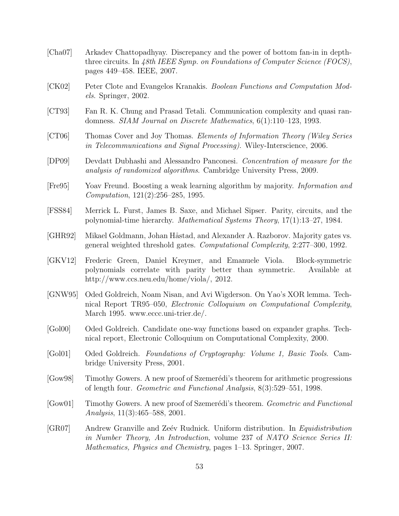- [Cha07] Arkadev Chattopadhyay. Discrepancy and the power of bottom fan-in in depththree circuits. In *48th IEEE Symp. on Foundations of Computer Science (FOCS)*, pages 449–458. IEEE, 2007.
- [CK02] Peter Clote and Evangelos Kranakis. *Boolean Functions and Computation Models*. Springer, 2002.
- [CT93] Fan R. K. Chung and Prasad Tetali. Communication complexity and quasi randomness. *SIAM Journal on Discrete Mathematics*, 6(1):110–123, 1993.
- [CT06] Thomas Cover and Joy Thomas. *Elements of Information Theory (Wiley Series in Telecommunications and Signal Processing)*. Wiley-Interscience, 2006.
- [DP09] Devdatt Dubhashi and Alessandro Panconesi. *Concentration of measure for the analysis of randomized algorithms*. Cambridge University Press, 2009.
- [Fre95] Yoav Freund. Boosting a weak learning algorithm by majority. *Information and Computation*, 121(2):256–285, 1995.
- [FSS84] Merrick L. Furst, James B. Saxe, and Michael Sipser. Parity, circuits, and the polynomial-time hierarchy. *Mathematical Systems Theory*, 17(1):13–27, 1984.
- [GHR92] Mikael Goldmann, Johan Håstad, and Alexander A. Razborov. Majority gates vs. general weighted threshold gates. *Computational Complexity*, 2:277–300, 1992.
- [GKV12] Frederic Green, Daniel Kreymer, and Emanuele Viola. Block-symmetric polynomials correlate with parity better than symmetric. Available at http://www.ccs.neu.edu/home/viola/, 2012.
- [GNW95] Oded Goldreich, Noam Nisan, and Avi Wigderson. On Yao's XOR lemma. Technical Report TR95–050, *Electronic Colloquium on Computational Complexity*, March 1995. www.eccc.uni-trier.de/.
- [Gol00] Oded Goldreich. Candidate one-way functions based on expander graphs. Technical report, Electronic Colloquium on Computational Complexity, 2000.
- [Gol01] Oded Goldreich. *Foundations of Cryptography: Volume 1, Basic Tools*. Cambridge University Press, 2001.
- [Gow98] Timothy Gowers. A new proof of Szemerédi's theorem for arithmetic progressions of length four. *Geometric and Functional Analysis*, 8(3):529–551, 1998.
- [Gow01] Timothy Gowers. A new proof of Szemerédi's theorem. *Geometric and Functional Analysis*, 11(3):465–588, 2001.
- [GR07] Andrew Granville and Ze´ev Rudnick. Uniform distribution. In *Equidistribution in Number Theory, An Introduction*, volume 237 of *NATO Science Series II: Mathematics, Physics and Chemistry*, pages 1–13. Springer, 2007.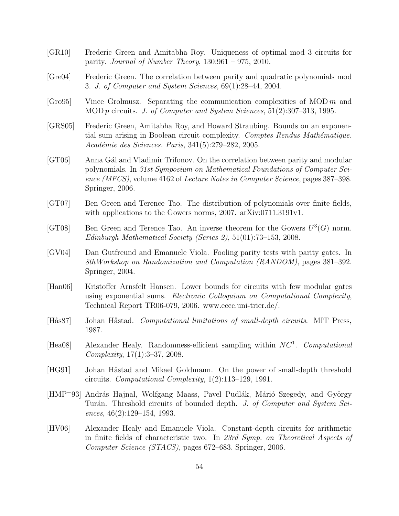- [GR10] Frederic Green and Amitabha Roy. Uniqueness of optimal mod 3 circuits for parity. *Journal of Number Theory*, 130:961 – 975, 2010.
- [Gre04] Frederic Green. The correlation between parity and quadratic polynomials mod 3. *J. of Computer and System Sciences*, 69(1):28–44, 2004.
- $[Gro95]$  Vince Grolmusz. Separating the communication complexities of MOD m and MOD p circuits. *J. of Computer and System Sciences*, 51(2):307–313, 1995.
- [GRS05] Frederic Green, Amitabha Roy, and Howard Straubing. Bounds on an exponential sum arising in Boolean circuit complexity. *Comptes Rendus Mathématique. Acad´emie des Sciences. Paris*, 341(5):279–282, 2005.
- [GT06] Anna Gál and Vladimir Trifonov. On the correlation between parity and modular polynomials. In *31st Symposium on Mathematical Foundations of Computer Science (MFCS)*, volume 4162 of *Lecture Notes in Computer Science*, pages 387–398. Springer, 2006.
- [GT07] Ben Green and Terence Tao. The distribution of polynomials over finite fields, with applications to the Gowers norms, 2007. arXiv:0711.3191v1.
- [GT08] Ben Green and Terence Tao. An inverse theorem for the Gowers  $U^3(G)$  norm. *Edinburgh Mathematical Society (Series 2)*, 51(01):73–153, 2008.
- [GV04] Dan Gutfreund and Emanuele Viola. Fooling parity tests with parity gates. In *8thWorkshop on Randomization and Computation (RANDOM)*, pages 381–392. Springer, 2004.
- [Han06] Kristoffer Arnsfelt Hansen. Lower bounds for circuits with few modular gates using exponential sums. *Electronic Colloquium on Computational Complexity*, Technical Report TR06-079, 2006. www.eccc.uni-trier.de/.
- [Hås87] Johan Håstad. *Computational limitations of small-depth circuits*. MIT Press, 1987.
- [Hea08] Alexander Healy. Randomness-efficient sampling within NC<sup>1</sup> . *Computational Complexity*, 17(1):3–37, 2008.
- [HG91] Johan Håstad and Mikael Goldmann. On the power of small-depth threshold circuits. *Computational Complexity*, 1(2):113–129, 1991.
- [HMP<sup>+</sup>93] András Hajnal, Wolfgang Maass, Pavel Pudlák, Márió Szegedy, and György Turán. Threshold circuits of bounded depth. *J. of Computer and System Sciences*, 46(2):129–154, 1993.
- [HV06] Alexander Healy and Emanuele Viola. Constant-depth circuits for arithmetic in finite fields of characteristic two. In *23rd Symp. on Theoretical Aspects of Computer Science (STACS)*, pages 672–683. Springer, 2006.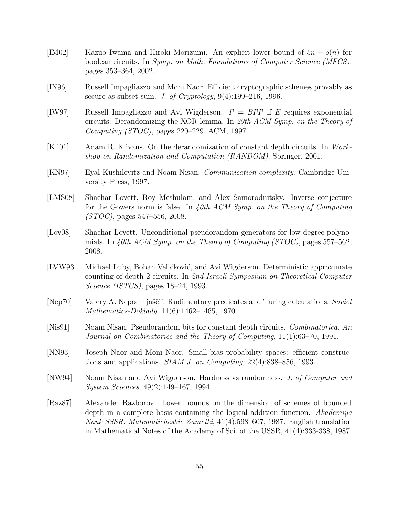- [IM02] Kazuo Iwama and Hiroki Morizumi. An explicit lower bound of  $5n o(n)$  for boolean circuits. In *Symp. on Math. Foundations of Computer Science (MFCS)*, pages 353–364, 2002.
- [IN96] Russell Impagliazzo and Moni Naor. Efficient cryptographic schemes provably as secure as subset sum. *J. of Cryptology*, 9(4):199–216, 1996.
- [IW97] Russell Impagliazzo and Avi Wigderson. *P* = *BPP* if E requires exponential circuits: Derandomizing the XOR lemma. In *29th ACM Symp. on the Theory of Computing (STOC)*, pages 220–229. ACM, 1997.
- [Kli01] Adam R. Klivans. On the derandomization of constant depth circuits. In *Workshop on Randomization and Computation (RANDOM)*. Springer, 2001.
- [KN97] Eyal Kushilevitz and Noam Nisan. *Communication complexity*. Cambridge University Press, 1997.
- [LMS08] Shachar Lovett, Roy Meshulam, and Alex Samorodnitsky. Inverse conjecture for the Gowers norm is false. In *40th ACM Symp. on the Theory of Computing (STOC)*, pages 547–556, 2008.
- [Lov08] Shachar Lovett. Unconditional pseudorandom generators for low degree polynomials. In *40th ACM Symp. on the Theory of Computing (STOC)*, pages 557–562, 2008.
- [LVW93] Michael Luby, Boban Veličković, and Avi Wigderson. Deterministic approximate counting of depth-2 circuits. In *2nd Israeli Symposium on Theoretical Computer Science (ISTCS)*, pages 18–24, 1993.
- [Nep70] Valery A. Nepomnjaščiĭ. Rudimentary predicates and Turing calculations. *Soviet Mathematics-Doklady*, 11(6):1462–1465, 1970.
- [Nis91] Noam Nisan. Pseudorandom bits for constant depth circuits. *Combinatorica. An Journal on Combinatorics and the Theory of Computing*, 11(1):63–70, 1991.
- [NN93] Joseph Naor and Moni Naor. Small-bias probability spaces: efficient constructions and applications. *SIAM J. on Computing*, 22(4):838–856, 1993.
- [NW94] Noam Nisan and Avi Wigderson. Hardness vs randomness. *J. of Computer and System Sciences*, 49(2):149–167, 1994.
- [Raz87] Alexander Razborov. Lower bounds on the dimension of schemes of bounded depth in a complete basis containing the logical addition function. *Akademiya Nauk SSSR. Matematicheskie Zametki*, 41(4):598–607, 1987. English translation in Mathematical Notes of the Academy of Sci. of the USSR, 41(4):333-338, 1987.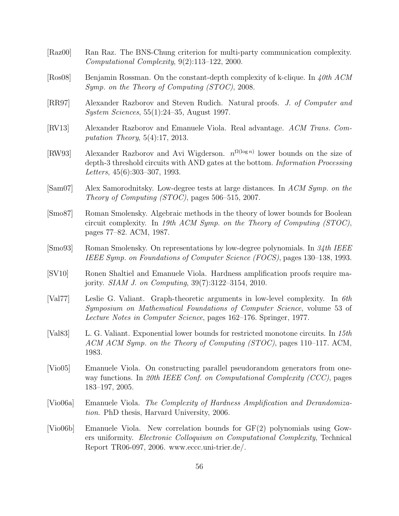- [Raz00] Ran Raz. The BNS-Chung criterion for multi-party communication complexity. *Computational Complexity*, 9(2):113–122, 2000.
- [Ros08] Benjamin Rossman. On the constant-depth complexity of k-clique. In *40th ACM Symp. on the Theory of Computing (STOC)*, 2008.
- [RR97] Alexander Razborov and Steven Rudich. Natural proofs. *J. of Computer and System Sciences*, 55(1):24–35, August 1997.
- [RV13] Alexander Razborov and Emanuele Viola. Real advantage. *ACM Trans. Computation Theory*, 5(4):17, 2013.
- [RW93] Alexander Razborov and Avi Wigderson.  $n^{\Omega(\log n)}$  lower bounds on the size of depth-3 threshold circuits with AND gates at the bottom. *Information Processing Letters*, 45(6):303–307, 1993.
- [Sam07] Alex Samorodnitsky. Low-degree tests at large distances. In *ACM Symp. on the Theory of Computing (STOC)*, pages 506–515, 2007.
- [Smo87] Roman Smolensky. Algebraic methods in the theory of lower bounds for Boolean circuit complexity. In *19th ACM Symp. on the Theory of Computing (STOC)*, pages 77–82. ACM, 1987.
- [Smo93] Roman Smolensky. On representations by low-degree polynomials. In *34th IEEE IEEE Symp. on Foundations of Computer Science (FOCS)*, pages 130–138, 1993.
- [SV10] Ronen Shaltiel and Emanuele Viola. Hardness amplification proofs require majority. *SIAM J. on Computing*, 39(7):3122–3154, 2010.
- [Val77] Leslie G. Valiant. Graph-theoretic arguments in low-level complexity. In *6th Symposium on Mathematical Foundations of Computer Science*, volume 53 of *Lecture Notes in Computer Science*, pages 162–176. Springer, 1977.
- [Val83] L. G. Valiant. Exponential lower bounds for restricted monotone circuits. In *15th ACM ACM Symp. on the Theory of Computing (STOC)*, pages 110–117. ACM, 1983.
- [Vio05] Emanuele Viola. On constructing parallel pseudorandom generators from oneway functions. In *20th IEEE Conf. on Computational Complexity (CCC)*, pages 183–197, 2005.
- [Vio06a] Emanuele Viola. *The Complexity of Hardness Amplification and Derandomization*. PhD thesis, Harvard University, 2006.
- [Vio06b] Emanuele Viola. New correlation bounds for GF(2) polynomials using Gowers uniformity. *Electronic Colloquium on Computational Complexity*, Technical Report TR06-097, 2006. www.eccc.uni-trier.de/.